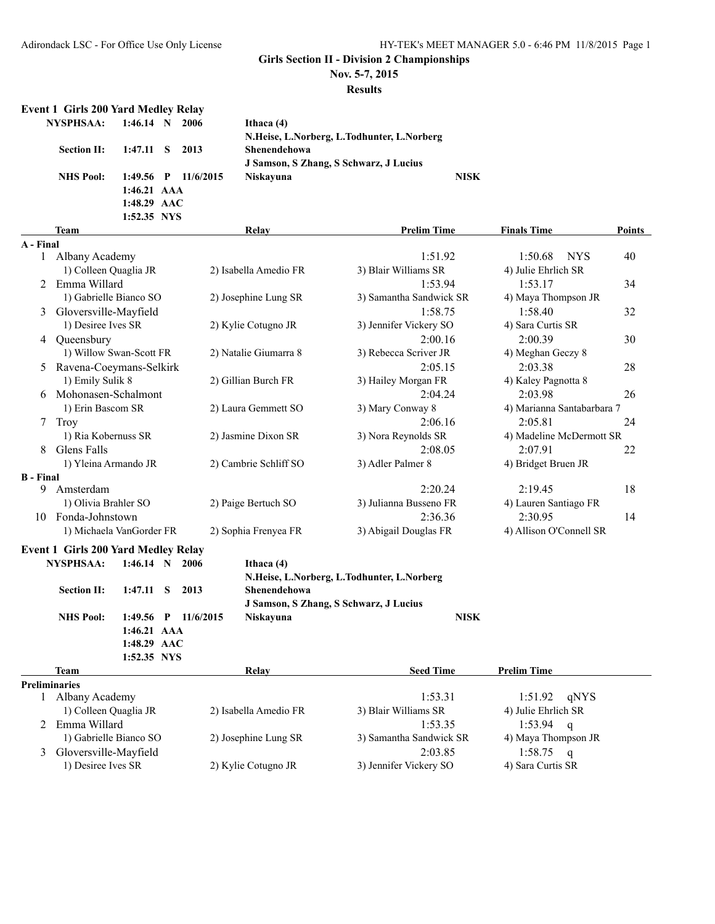**Nov. 5-7, 2015**

#### **Results**

|                  | <b>Event 1 Girls 200 Yard Medley Relay</b> |             |    |                     |                       |                                            |                            |               |
|------------------|--------------------------------------------|-------------|----|---------------------|-----------------------|--------------------------------------------|----------------------------|---------------|
|                  | <b>NYSPHSAA:</b>                           | $1:46.14$ N |    | 2006                | Ithaca (4)            |                                            |                            |               |
|                  |                                            |             |    |                     |                       | N.Heise, L.Norberg, L.Todhunter, L.Norberg |                            |               |
|                  | <b>Section II:</b>                         | 1:47.11     | S. | 2013                | Shenendehowa          |                                            |                            |               |
|                  |                                            |             |    |                     |                       | J Samson, S Zhang, S Schwarz, J Lucius     |                            |               |
|                  | <b>NHS Pool:</b>                           |             |    | 1:49.56 P 11/6/2015 | Niskayuna             | <b>NISK</b>                                |                            |               |
|                  |                                            | 1:46.21 AAA |    |                     |                       |                                            |                            |               |
|                  |                                            | 1:48.29 AAC |    |                     |                       |                                            |                            |               |
|                  |                                            | 1:52.35 NYS |    |                     |                       |                                            |                            |               |
|                  | <b>Team</b>                                |             |    |                     | <b>Relay</b>          | <b>Prelim Time</b>                         | <b>Finals Time</b>         | <b>Points</b> |
| A - Final        |                                            |             |    |                     |                       |                                            |                            |               |
|                  | 1 Albany Academy                           |             |    |                     |                       | 1:51.92                                    | 1:50.68<br><b>NYS</b>      | 40            |
|                  | 1) Colleen Quaglia JR                      |             |    |                     | 2) Isabella Amedio FR | 3) Blair Williams SR                       | 4) Julie Ehrlich SR        |               |
| 2                | Emma Willard                               |             |    |                     |                       | 1:53.94                                    | 1:53.17                    | 34            |
|                  | 1) Gabrielle Bianco SO                     |             |    |                     | 2) Josephine Lung SR  | 3) Samantha Sandwick SR                    | 4) Maya Thompson JR        |               |
| 3                | Gloversville-Mayfield                      |             |    |                     |                       | 1:58.75                                    | 1:58.40                    | 32            |
|                  | 1) Desiree Ives SR                         |             |    |                     | 2) Kylie Cotugno JR   | 3) Jennifer Vickery SO                     | 4) Sara Curtis SR          |               |
| 4                | Queensbury                                 |             |    |                     |                       | 2:00.16                                    | 2:00.39                    | 30            |
|                  | 1) Willow Swan-Scott FR                    |             |    |                     | 2) Natalie Giumarra 8 | 3) Rebecca Scriver JR                      | 4) Meghan Geczy 8          |               |
|                  | Ravena-Coeymans-Selkirk                    |             |    |                     |                       | 2:05.15                                    | 2:03.38                    | 28            |
|                  | 1) Emily Sulik 8                           |             |    |                     | 2) Gillian Burch FR   | 3) Hailey Morgan FR                        | 4) Kaley Pagnotta 8        |               |
|                  | Mohonasen-Schalmont                        |             |    |                     |                       | 2:04.24                                    | 2:03.98                    | 26            |
|                  | 1) Erin Bascom SR                          |             |    |                     | 2) Laura Gemmett SO   | 3) Mary Conway 8                           | 4) Marianna Santabarbara 7 |               |
| 7                | Troy                                       |             |    |                     |                       | 2:06.16                                    | 2:05.81                    | 24            |
|                  | 1) Ria Kobernuss SR                        |             |    |                     | 2) Jasmine Dixon SR   | 3) Nora Reynolds SR                        | 4) Madeline McDermott SR   |               |
| 8                | Glens Falls                                |             |    |                     |                       | 2:08.05                                    | 2:07.91                    | 22            |
|                  | 1) Yleina Armando JR                       |             |    |                     | 2) Cambrie Schliff SO | 3) Adler Palmer 8                          | 4) Bridget Bruen JR        |               |
| <b>B</b> - Final |                                            |             |    |                     |                       |                                            |                            |               |
| 9                | Amsterdam                                  |             |    |                     |                       | 2:20.24                                    | 2:19.45                    | 18            |
|                  | 1) Olivia Brahler SO                       |             |    |                     | 2) Paige Bertuch SO   | 3) Julianna Busseno FR                     | 4) Lauren Santiago FR      |               |
| 10               | Fonda-Johnstown                            |             |    |                     |                       | 2:36.36                                    | 2:30.95                    | 14            |
|                  | 1) Michaela VanGorder FR                   |             |    |                     | 2) Sophia Frenyea FR  | 3) Abigail Douglas FR                      | 4) Allison O'Connell SR    |               |
|                  | <b>Event 1 Girls 200 Yard Medley Relay</b> |             |    |                     |                       |                                            |                            |               |

| NYSPHSAA:          | $1:46.14$ N 2006      | Ithaca (4)                                 |      |
|--------------------|-----------------------|--------------------------------------------|------|
|                    |                       | N.Heise, L.Norberg, L.Todhunter, L.Norberg |      |
| <b>Section II:</b> | 1:47.11 S 2013        | <b>Shenendehowa</b>                        |      |
|                    |                       | J Samson, S Zhang, S Schwarz, J Lucius     |      |
| <b>NHS</b> Pool:   | 1:49.56 P $11/6/2015$ | Niskavuna                                  | NISK |
|                    | $1:46.21$ AAA         |                                            |      |
|                    | $1:48.29$ AAC         |                                            |      |

**1:52.35 NYS**

#### **Team Relay Relay Seed Time Prelim Time Preliminaries** 1:53.31 1:51.92 qNYS 1) Colleen Quaglia JR 2) Isabella Amedio FR 3) Blair Williams SR 4) Julie Ehrlich SR 2 Emma Willard 1:53.35 1:53.94 q<br>1) Gabrielle Bianco SO 2) Josephine Lung SR 3) Samantha Sandwick SR 4) Maya Thompson JR 2) Josephine Lung SR 3) Samantha Sandwick SR 3 Gloversville-Mayfield 2:03.85 1:58.75 q 1) Desiree Ives SR 2) Kylie Cotugno JR 3) Jennifer Vickery SO 4) Sara Curtis SR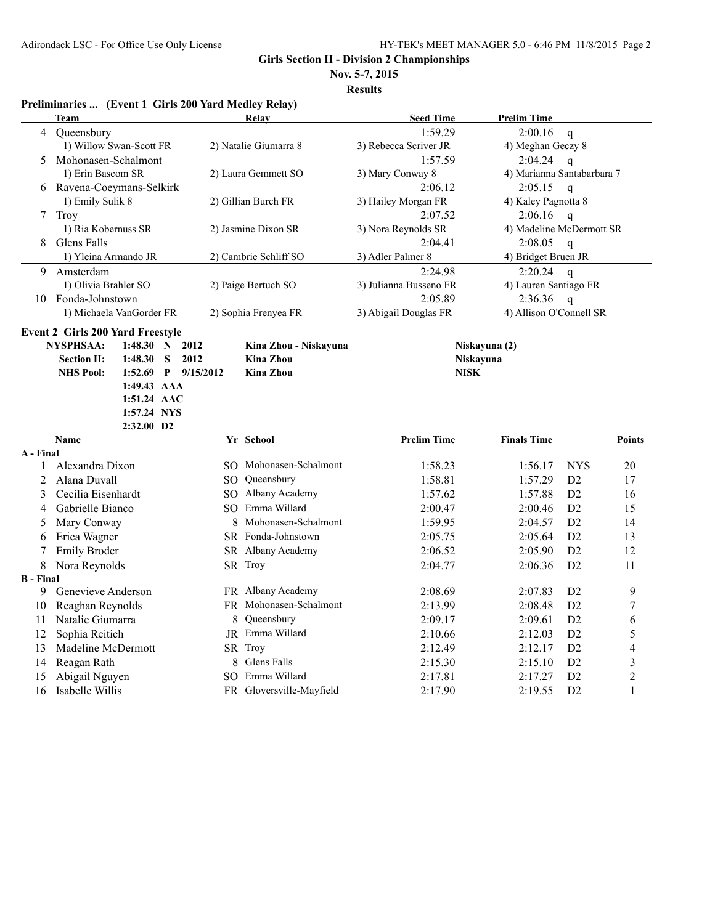**Nov. 5-7, 2015**

|                  | Preliminaries  (Event 1 Girls 200 Yard Medley Relay)                                                                                                                                                      |                                                                               |                        |                            |                |                |
|------------------|-----------------------------------------------------------------------------------------------------------------------------------------------------------------------------------------------------------|-------------------------------------------------------------------------------|------------------------|----------------------------|----------------|----------------|
|                  | Team                                                                                                                                                                                                      | <b>Relay</b>                                                                  | <b>Seed Time</b>       | <b>Prelim Time</b>         |                |                |
| 4                | Queensbury                                                                                                                                                                                                |                                                                               | 1:59.29                | 2:00.16                    | $\mathbf q$    |                |
|                  | 1) Willow Swan-Scott FR                                                                                                                                                                                   | 2) Natalie Giumarra 8                                                         | 3) Rebecca Scriver JR  | 4) Meghan Geczy 8          |                |                |
| 5                | Mohonasen-Schalmont                                                                                                                                                                                       |                                                                               | 1:57.59                | 2:04.24                    | $\mathbf q$    |                |
|                  | 1) Erin Bascom SR                                                                                                                                                                                         | 2) Laura Gemmett SO                                                           | 3) Mary Conway 8       | 4) Marianna Santabarbara 7 |                |                |
| 6                | Ravena-Coeymans-Selkirk                                                                                                                                                                                   |                                                                               | 2:06.12                | 2:05.15                    | $\mathbf{q}$   |                |
|                  | 1) Emily Sulik 8                                                                                                                                                                                          | 2) Gillian Burch FR                                                           | 3) Hailey Morgan FR    | 4) Kaley Pagnotta 8        |                |                |
| 7                | Troy                                                                                                                                                                                                      |                                                                               | 2:07.52                | 2:06.16                    | $\mathbf{q}$   |                |
|                  | 1) Ria Kobernuss SR                                                                                                                                                                                       | 2) Jasmine Dixon SR                                                           | 3) Nora Reynolds SR    | 4) Madeline McDermott SR   |                |                |
| 8                | Glens Falls                                                                                                                                                                                               |                                                                               | 2:04.41                | 2:08.05                    | $\mathbf q$    |                |
|                  | 1) Yleina Armando JR                                                                                                                                                                                      | 2) Cambrie Schliff SO                                                         | 3) Adler Palmer 8      | 4) Bridget Bruen JR        |                |                |
| 9                | Amsterdam                                                                                                                                                                                                 |                                                                               | 2:24.98                | 2:20.24                    | $\mathbf{q}$   |                |
|                  | 1) Olivia Brahler SO                                                                                                                                                                                      | 2) Paige Bertuch SO                                                           | 3) Julianna Busseno FR | 4) Lauren Santiago FR      |                |                |
|                  | 10 Fonda-Johnstown                                                                                                                                                                                        |                                                                               | 2:05.89                | 2:36.36                    | $\mathbf q$    |                |
|                  | 1) Michaela VanGorder FR                                                                                                                                                                                  | 2) Sophia Frenyea FR                                                          | 3) Abigail Douglas FR  | 4) Allison O'Connell SR    |                |                |
|                  | <b>Event 2 Girls 200 Yard Freestyle</b><br><b>NYSPHSAA:</b><br>1:48.30<br>N<br>S<br><b>Section II:</b><br>1:48.30<br>1:52.69 P 9/15/2012<br><b>NHS Pool:</b><br>1:49.43 AAA<br>1:51.24 AAC<br>1:57.24 NYS | 2012<br>Kina Zhou - Niskayuna<br>2012<br><b>Kina Zhou</b><br><b>Kina Zhou</b> | <b>NISK</b>            | Niskayuna (2)<br>Niskayuna |                |                |
|                  | 2:32.00 D2<br><b>Name</b>                                                                                                                                                                                 | Yr School                                                                     | <b>Prelim Time</b>     | <b>Finals Time</b>         |                | <b>Points</b>  |
| A - Final        |                                                                                                                                                                                                           |                                                                               |                        |                            |                |                |
| 1                | Alexandra Dixon                                                                                                                                                                                           | SO Mohonasen-Schalmont                                                        | 1:58.23                | 1:56.17                    | <b>NYS</b>     | 20             |
| 2                | Alana Duvall                                                                                                                                                                                              | SO Queensbury                                                                 | 1:58.81                | 1:57.29                    | D2             | 17             |
| 3                | Cecilia Eisenhardt                                                                                                                                                                                        | SO Albany Academy                                                             | 1:57.62                | 1:57.88                    | D2             | 16             |
| 4                | Gabrielle Bianco                                                                                                                                                                                          | SO Emma Willard                                                               | 2:00.47                | 2:00.46                    | D <sub>2</sub> | 15             |
| 5                | Mary Conway                                                                                                                                                                                               | 8 Mohonasen-Schalmont                                                         | 1:59.95                | 2:04.57                    | D <sub>2</sub> | 14             |
| 6                | Erica Wagner                                                                                                                                                                                              | SR Fonda-Johnstown                                                            | 2:05.75                | 2:05.64                    | D2             | 13             |
| 7                | <b>Emily Broder</b>                                                                                                                                                                                       | SR Albany Academy                                                             | 2:06.52                | 2:05.90                    | D2             | 12             |
| 8                | Nora Reynolds                                                                                                                                                                                             | SR Troy                                                                       | 2:04.77                | 2:06.36                    | D <sub>2</sub> | 11             |
| <b>B</b> - Final |                                                                                                                                                                                                           |                                                                               |                        |                            |                |                |
| 9                | Genevieve Anderson                                                                                                                                                                                        | FR Albany Academy                                                             | 2:08.69                | 2:07.83                    | D <sub>2</sub> | 9              |
| 10               | Reaghan Reynolds                                                                                                                                                                                          | FR Mohonasen-Schalmont                                                        | 2:13.99                | 2:08.48                    | D2             | 7              |
| 11               | Natalie Giumarra                                                                                                                                                                                          | Queensbury<br>8                                                               | 2:09.17                | 2:09.61                    | D <sub>2</sub> | 6              |
| 12               | Sophia Reitich                                                                                                                                                                                            | JR Emma Willard                                                               | 2:10.66                | 2:12.03                    | D <sub>2</sub> | 5              |
| 13               | Madeline McDermott                                                                                                                                                                                        | SR Troy                                                                       | 2:12.49                | 2:12.17                    | D <sub>2</sub> | $\overline{4}$ |
| 14               | Reagan Rath                                                                                                                                                                                               | 8 Glens Falls                                                                 | 2:15.30                | 2:15.10                    | D <sub>2</sub> | $\mathfrak{Z}$ |
| 15               | Abigail Nguyen                                                                                                                                                                                            | SO Emma Willard                                                               | 2:17.81                | 2:17.27                    | D2             | $\overline{c}$ |
| 16               | Isabelle Willis                                                                                                                                                                                           | FR Gloversville-Mayfield                                                      | 2:17.90                | 2:19.55                    | D2             | $\mathbf{1}$   |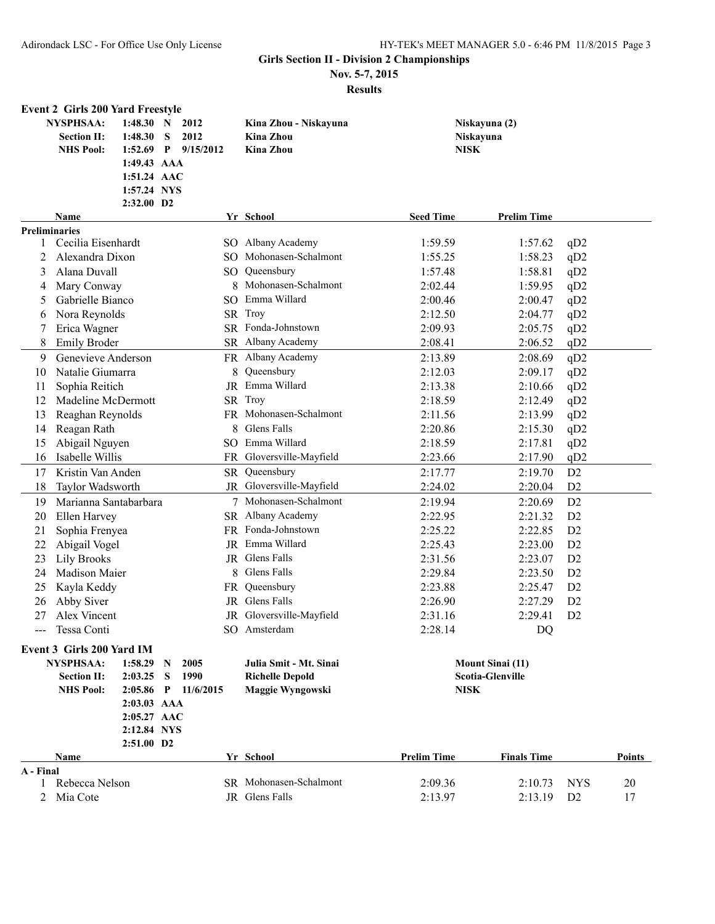**Nov. 5-7, 2015**

|                      | <b>Event 2 Girls 200 Yard Freestyle</b>                                             |             |              |                 |                          |                    |                         |                 |        |
|----------------------|-------------------------------------------------------------------------------------|-------------|--------------|-----------------|--------------------------|--------------------|-------------------------|-----------------|--------|
|                      | <b>NYSPHSAA:</b><br>1:48.30 N<br>2012<br><b>Section II:</b><br>1:48.30<br>S<br>2012 |             |              |                 | Kina Zhou - Niskayuna    |                    | Niskayuna (2)           |                 |        |
|                      |                                                                                     |             |              |                 | <b>Kina Zhou</b>         | Niskayuna          |                         |                 |        |
|                      | <b>NHS Pool:</b>                                                                    | 1:52.69     | $\mathbf{P}$ | 9/15/2012       | <b>Kina Zhou</b>         | <b>NISK</b>        |                         |                 |        |
|                      |                                                                                     | 1:49.43 AAA |              |                 |                          |                    |                         |                 |        |
|                      |                                                                                     | 1:51.24 AAC |              |                 |                          |                    |                         |                 |        |
|                      |                                                                                     | 1:57.24 NYS |              |                 |                          |                    |                         |                 |        |
|                      |                                                                                     | 2:32.00 D2  |              |                 |                          | <b>Seed Time</b>   | <b>Prelim Time</b>      |                 |        |
| <b>Preliminaries</b> | Name                                                                                |             |              |                 | Yr School                |                    |                         |                 |        |
| 1                    | Cecilia Eisenhardt                                                                  |             |              |                 | SO Albany Academy        | 1:59.59            | 1:57.62                 | qD2             |        |
| 2                    | Alexandra Dixon                                                                     |             |              |                 | SO Mohonasen-Schalmont   | 1:55.25            | 1:58.23                 | qD2             |        |
| 3                    | Alana Duvall                                                                        |             |              |                 | SO Queensbury            | 1:57.48            | 1:58.81                 | qD2             |        |
| 4                    | Mary Conway                                                                         |             |              | 8               | Mohonasen-Schalmont      | 2:02.44            | 1:59.95                 | qD2             |        |
| 5                    | Gabrielle Bianco                                                                    |             |              | SO.             | Emma Willard             | 2:00.46            | 2:00.47                 | qD2             |        |
| 6                    | Nora Reynolds                                                                       |             |              |                 | SR Troy                  | 2:12.50            | 2:04.77                 | qD2             |        |
|                      | Erica Wagner                                                                        |             |              |                 | SR Fonda-Johnstown       | 2:09.93            | 2:05.75                 | qD2             |        |
| 8                    | <b>Emily Broder</b>                                                                 |             |              |                 | SR Albany Academy        | 2:08.41            | 2:06.52                 | qD2             |        |
| 9                    | Genevieve Anderson                                                                  |             |              |                 | FR Albany Academy        | 2:13.89            | 2:08.69                 | qD2             |        |
| 10                   | Natalie Giumarra                                                                    |             |              | 8               | Queensbury               | 2:12.03            | 2:09.17                 | qD <sub>2</sub> |        |
| 11                   | Sophia Reitich                                                                      |             |              | JR              | Emma Willard             | 2:13.38            | 2:10.66                 | qD2             |        |
| 12                   | Madeline McDermott                                                                  |             |              |                 | SR Troy                  | 2:18.59            | 2:12.49                 | qD2             |        |
| 13                   | Reaghan Reynolds                                                                    |             |              |                 | FR Mohonasen-Schalmont   | 2:11.56            | 2:13.99                 | qD2             |        |
| 14                   | Reagan Rath                                                                         |             |              | 8               | Glens Falls              | 2:20.86            | 2:15.30                 | qD2             |        |
| 15                   | Abigail Nguyen                                                                      |             |              |                 | SO Emma Willard          | 2:18.59            | 2:17.81                 | qD2             |        |
| 16                   | Isabelle Willis                                                                     |             |              |                 | FR Gloversville-Mayfield | 2:23.66            | 2:17.90                 | qD2             |        |
| 17                   | Kristin Van Anden                                                                   |             |              |                 | SR Queensbury            | 2:17.77            | 2:19.70                 | D2              |        |
| 18                   | Taylor Wadsworth                                                                    |             |              |                 | JR Gloversville-Mayfield | 2:24.02            | 2:20.04                 | D2              |        |
| 19                   | Marianna Santabarbara                                                               |             |              |                 | 7 Mohonasen-Schalmont    | 2:19.94            | 2:20.69                 | D2              |        |
| 20                   | Ellen Harvey                                                                        |             |              |                 | SR Albany Academy        | 2:22.95            | 2:21.32                 | D <sub>2</sub>  |        |
| 21                   | Sophia Frenyea                                                                      |             |              |                 | FR Fonda-Johnstown       | 2:25.22            | 2:22.85                 | D <sub>2</sub>  |        |
| 22                   | Abigail Vogel                                                                       |             |              | JR              | Emma Willard             | 2:25.43            | 2:23.00                 | D <sub>2</sub>  |        |
| 23                   | <b>Lily Brooks</b>                                                                  |             |              |                 | JR Glens Falls           | 2:31.56            | 2:23.07                 | D <sub>2</sub>  |        |
| 24                   | Madison Maier                                                                       |             |              | 8               | Glens Falls              | 2:29.84            | 2:23.50                 | D <sub>2</sub>  |        |
| 25                   | Kayla Keddy                                                                         |             |              |                 | FR Queensbury            | 2:23.88            | 2:25.47                 | D <sub>2</sub>  |        |
| 26                   | Abby Siver                                                                          |             |              | JR.             | Glens Falls              | 2:26.90            | 2:27.29                 | D <sub>2</sub>  |        |
| 27                   | Alex Vincent                                                                        |             |              |                 | JR Gloversville-Mayfield | 2:31.16            | 2:29.41                 | D2              |        |
|                      | Tessa Conti                                                                         |             |              |                 | SO Amsterdam             | 2:28.14            | DQ                      |                 |        |
|                      | Event 3 Girls 200 Yard IM                                                           |             |              |                 |                          |                    |                         |                 |        |
|                      | <b>NYSPHSAA:</b>                                                                    | 1:58.29     | $\mathbf N$  | 2005            | Julia Smit - Mt. Sinai   |                    | <b>Mount Sinai (11)</b> |                 |        |
|                      | <b>Section II:</b>                                                                  | 2:03.25     | S            | 1990            | <b>Richelle Depold</b>   |                    | <b>Scotia-Glenville</b> |                 |        |
|                      | <b>NHS Pool:</b>                                                                    | 2:05.86     |              | $P = 11/6/2015$ | Maggie Wyngowski         | <b>NISK</b>        |                         |                 |        |
|                      |                                                                                     | 2:03.03 AAA |              |                 |                          |                    |                         |                 |        |
|                      |                                                                                     | 2:05.27 AAC |              |                 |                          |                    |                         |                 |        |
|                      |                                                                                     | 2:12.84 NYS |              |                 |                          |                    |                         |                 |        |
|                      |                                                                                     | 2:51.00 D2  |              |                 |                          |                    |                         |                 |        |
|                      | Name                                                                                |             |              |                 | Yr School                | <b>Prelim Time</b> | <b>Finals Time</b>      |                 | Points |
| A - Final            |                                                                                     |             |              |                 |                          |                    |                         |                 |        |
| 1                    | Rebecca Nelson                                                                      |             |              |                 | SR Mohonasen-Schalmont   | 2:09.36            | 2:10.73                 | <b>NYS</b>      | 20     |
| 2                    | Mia Cote                                                                            |             |              |                 | JR Glens Falls           | 2:13.97            | 2:13.19                 | D <sub>2</sub>  | 17     |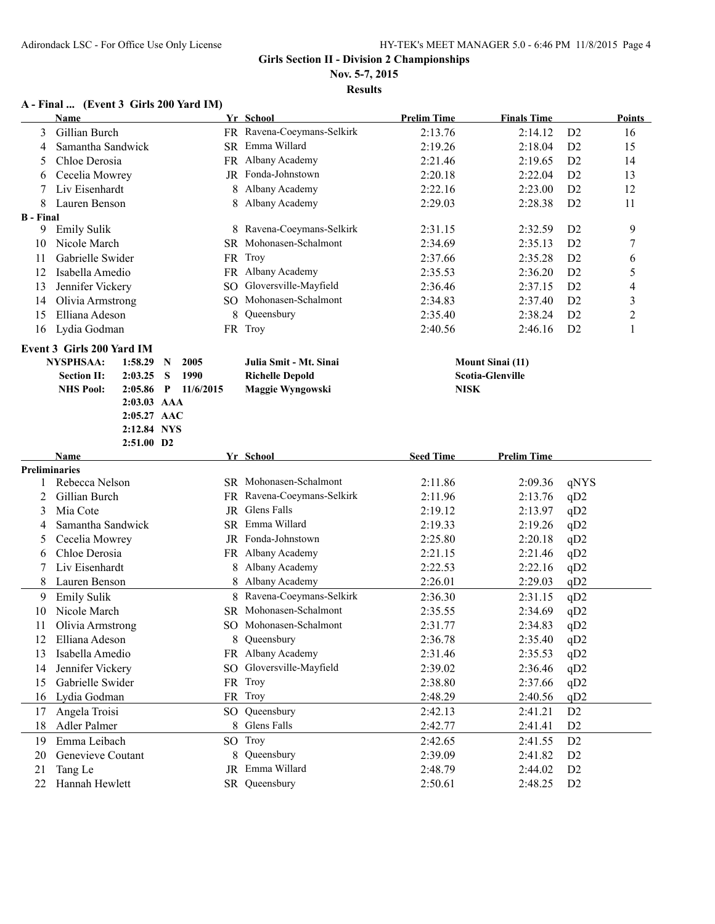#### **Nov. 5-7, 2015**

**Results**

# **A - Final ... (Event 3 Girls 200 Yard IM)**

|                  | <b>Name</b>                   |                | Yr School                  | <b>Prelim Time</b> | <b>Finals Time</b>      |                 | <b>Points</b>            |
|------------------|-------------------------------|----------------|----------------------------|--------------------|-------------------------|-----------------|--------------------------|
| 3                | Gillian Burch                 |                | FR Ravena-Coeymans-Selkirk | 2:13.76            | 2:14.12                 | D <sub>2</sub>  | 16                       |
| 4                | Samantha Sandwick             |                | SR Emma Willard            | 2:19.26            | 2:18.04                 | D <sub>2</sub>  | 15                       |
| 5                | Chloe Derosia                 |                | FR Albany Academy          | 2:21.46            | 2:19.65                 | D2              | 14                       |
| 6                | Cecelia Mowrey                |                | JR Fonda-Johnstown         | 2:20.18            | 2:22.04                 | D2              | 13                       |
|                  | Liv Eisenhardt                | 8              | Albany Academy             | 2:22.16            | 2:23.00                 | D2              | 12                       |
| 8                | Lauren Benson                 | 8              | Albany Academy             | 2:29.03            | 2:28.38                 | D2              | 11                       |
| <b>B</b> - Final |                               |                |                            |                    |                         |                 |                          |
|                  | 9 Emily Sulik                 |                | 8 Ravena-Coeymans-Selkirk  | 2:31.15            | 2:32.59                 | D2              | 9                        |
| 10               | Nicole March                  |                | SR Mohonasen-Schalmont     | 2:34.69            | 2:35.13                 | D2              | $\overline{7}$           |
| 11               | Gabrielle Swider              |                | FR Troy                    | 2:37.66            | 2:35.28                 | D <sub>2</sub>  | 6                        |
| 12               | Isabella Amedio               |                | FR Albany Academy          | 2:35.53            | 2:36.20                 | D <sub>2</sub>  | 5                        |
| 13               | Jennifer Vickery              |                | SO Gloversville-Mayfield   | 2:36.46            | 2:37.15                 | D <sub>2</sub>  | $\overline{\mathcal{A}}$ |
| 14               | Olivia Armstrong              | SO.            | Mohonasen-Schalmont        | 2:34.83            | 2:37.40                 | D <sub>2</sub>  | 3                        |
| 15               | Elliana Adeson                | 8              | Queensbury                 | 2:35.40            | 2:38.24                 | D <sub>2</sub>  | $\overline{2}$           |
| 16               | Lydia Godman                  |                | FR Troy                    | 2:40.56            | 2:46.16                 | D <sub>2</sub>  | 1                        |
|                  | Event 3 Girls 200 Yard IM     |                |                            |                    |                         |                 |                          |
|                  | <b>NYSPHSAA:</b><br>1:58.29   | 2005<br>N      | Julia Smit - Mt. Sinai     |                    | <b>Mount Sinai (11)</b> |                 |                          |
|                  | <b>Section II:</b><br>2:03.25 | S<br>1990      | <b>Richelle Depold</b>     |                    | <b>Scotia-Glenville</b> |                 |                          |
|                  | <b>NHS Pool:</b><br>2:05.86   | P<br>11/6/2015 | Maggie Wyngowski           | <b>NISK</b>        |                         |                 |                          |
|                  | 2:03.03 AAA                   |                |                            |                    |                         |                 |                          |
|                  | 2:05.27 AAC                   |                |                            |                    |                         |                 |                          |
|                  | 2:12.84 NYS                   |                |                            |                    |                         |                 |                          |
|                  | 2:51.00 D2                    |                |                            |                    |                         |                 |                          |
| Preliminaries    | Name                          |                | Yr School                  | <b>Seed Time</b>   | <b>Prelim Time</b>      |                 |                          |
|                  | Rebecca Nelson                |                | SR Mohonasen-Schalmont     | 2:11.86            | 2:09.36                 | qNYS            |                          |
| 2                | Gillian Burch                 |                | FR Ravena-Coeymans-Selkirk | 2:11.96            | 2:13.76                 | qD2             |                          |
| 3                | Mia Cote                      |                | JR Glens Falls             | 2:19.12            | 2:13.97                 | qD2             |                          |
| 4                | Samantha Sandwick             |                | SR Emma Willard            | 2:19.33            | 2:19.26                 | qD2             |                          |
| 5                | Cecelia Mowrey                |                | JR Fonda-Johnstown         | 2:25.80            | 2:20.18                 | qD2             |                          |
| 6                | Chloe Derosia                 |                | FR Albany Academy          | 2:21.15            | 2:21.46                 | qD <sub>2</sub> |                          |
| 7                | Liv Eisenhardt                | 8              | Albany Academy             | 2:22.53            | 2:22.16                 | qD <sub>2</sub> |                          |
| 8                | Lauren Benson                 | 8              | Albany Academy             | 2:26.01            | 2:29.03                 | qD2             |                          |
| 9                | <b>Emily Sulik</b>            |                | 8 Ravena-Coeymans-Selkirk  | 2:36.30            | 2:31.15                 | qD2             |                          |
| 10               | Nicole March                  |                | SR Mohonasen-Schalmont     | 2:35.55            | 2:34.69                 | qD2             |                          |
| 11               | Olivia Armstrong              |                | SO Mohonasen-Schalmont     | 2:31.77            | 2:34.83                 | qD <sub>2</sub> |                          |
| 12               | Elliana Adeson                | 8              | Queensbury                 | 2:36.78            | 2:35.40                 | qD2             |                          |
| 13               | Isabella Amedio               |                | FR Albany Academy          | 2:31.46            | 2:35.53                 | qD <sub>2</sub> |                          |
| 14               | Jennifer Vickery              |                | SO Gloversville-Mayfield   | 2:39.02            | 2:36.46                 | qD2             |                          |
| 15               | Gabrielle Swider              |                | FR Troy                    | 2:38.80            | 2:37.66                 | qD2             |                          |
| 16               | Lydia Godman                  |                | FR Troy                    | 2:48.29            | 2:40.56                 | qD2             |                          |
| 17               | Angela Troisi                 |                | SO Queensbury              | 2:42.13            | 2:41.21                 | D <sub>2</sub>  |                          |
| 18               | Adler Palmer                  |                | 8 Glens Falls              | 2:42.77            | 2:41.41                 | D <sub>2</sub>  |                          |
| 19               | Emma Leibach                  |                | SO Troy                    | 2:42.65            | 2:41.55                 | D <sub>2</sub>  |                          |
| 20               | Genevieve Coutant<br>8        |                | Queensbury                 | 2:39.09            | 2:41.82                 | D <sub>2</sub>  |                          |
| 21               | Tang Le                       | JR             | Emma Willard               | 2:48.79            | 2:44.02                 | D <sub>2</sub>  |                          |
| 22               | Hannah Hewlett                |                | SR Queensbury              | 2:50.61            | 2:48.25                 | D <sub>2</sub>  |                          |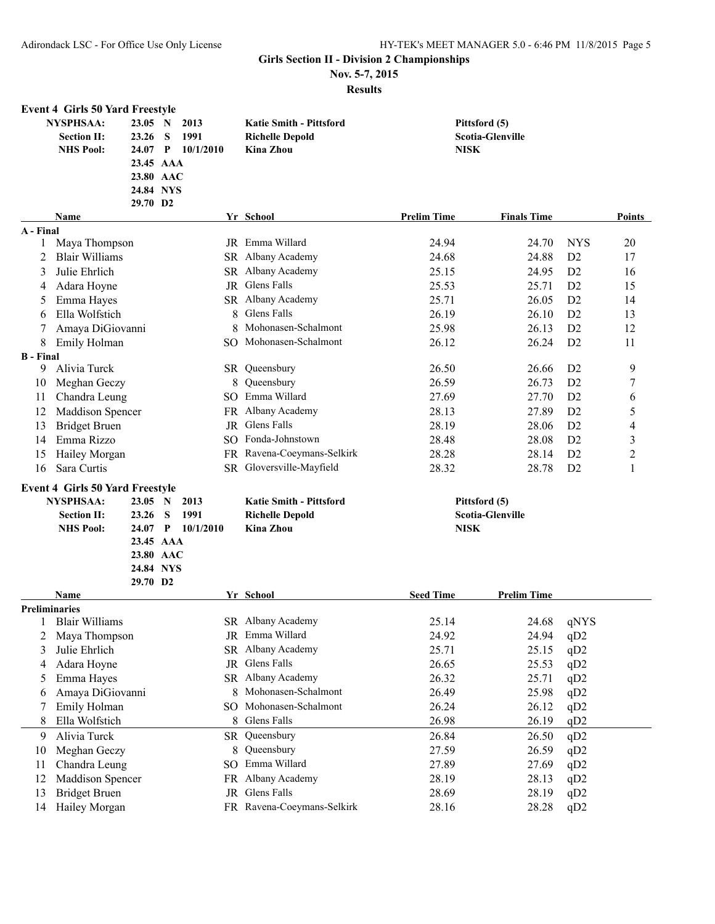**Nov. 5-7, 2015**

|                      | <b>Event 4 Girls 50 Yard Freestyle</b> |           |   |                   |       |                                |                    |                         |                 |                |
|----------------------|----------------------------------------|-----------|---|-------------------|-------|--------------------------------|--------------------|-------------------------|-----------------|----------------|
|                      | <b>NYSPHSAA:</b>                       | 23.05 N   |   | 2013              |       | <b>Katie Smith - Pittsford</b> |                    | Pittsford (5)           |                 |                |
|                      | <b>Section II:</b>                     | 23.26     | S | 1991              |       | <b>Richelle Depold</b>         |                    | Scotia-Glenville        |                 |                |
|                      | <b>NHS Pool:</b>                       | 24.07 P   |   | 10/1/2010         |       | <b>Kina Zhou</b>               | <b>NISK</b>        |                         |                 |                |
|                      |                                        | 23.45 AAA |   |                   |       |                                |                    |                         |                 |                |
|                      |                                        | 23.80 AAC |   |                   |       |                                |                    |                         |                 |                |
|                      |                                        | 24.84 NYS |   |                   |       |                                |                    |                         |                 |                |
|                      |                                        | 29.70 D2  |   |                   |       |                                |                    |                         |                 |                |
|                      | <b>Name</b>                            |           |   |                   |       | Yr School                      | <b>Prelim Time</b> | <b>Finals Time</b>      |                 | Points         |
| A - Final            |                                        |           |   |                   |       |                                |                    |                         |                 |                |
| 1                    | Maya Thompson                          |           |   |                   |       | JR Emma Willard                | 24.94              | 24.70                   | <b>NYS</b>      | 20             |
| 2                    | <b>Blair Williams</b>                  |           |   |                   |       | SR Albany Academy              | 24.68              | 24.88                   | D <sub>2</sub>  | 17             |
| 3                    | Julie Ehrlich                          |           |   |                   |       | SR Albany Academy              | 25.15              | 24.95                   | D2              | 16             |
| 4                    | Adara Hoyne                            |           |   |                   |       | JR Glens Falls                 | 25.53              | 25.71                   | D <sub>2</sub>  | 15             |
| 5                    | Emma Hayes                             |           |   | SR Albany Academy | 25.71 | 26.05                          | D2                 | 14                      |                 |                |
| 6                    | Ella Wolfstich                         |           |   |                   | 8     | Glens Falls                    | 26.19              | 26.10                   | D2              | 13             |
|                      | Amaya DiGiovanni                       |           |   |                   | 8     | Mohonasen-Schalmont            | 25.98              | 26.13                   | D <sub>2</sub>  | 12             |
| 8                    | Emily Holman                           |           |   |                   |       | SO Mohonasen-Schalmont         | 26.12              | 26.24                   | D2              | 11             |
| <b>B</b> - Final     |                                        |           |   |                   |       |                                |                    |                         |                 |                |
| 9                    | Alivia Turck                           |           |   |                   |       | SR Queensbury                  | 26.50              | 26.66                   | D <sub>2</sub>  | 9              |
| 10                   | Meghan Geczy                           |           |   |                   | 8     | Queensbury                     | 26.59              | 26.73                   | D <sub>2</sub>  | 7              |
| 11                   | Chandra Leung                          |           |   | SO.               |       | Emma Willard                   | 27.69              | 27.70                   | D2              | 6              |
| 12                   | Maddison Spencer                       |           |   |                   |       | FR Albany Academy              | 28.13              | 27.89                   | D2              | 5              |
| 13                   | <b>Bridget Bruen</b>                   |           |   |                   | JR    | Glens Falls                    | 28.19              | 28.06                   | D2              | 4              |
| 14                   | Emma Rizzo                             |           |   | SO.               |       | Fonda-Johnstown                | 28.48              | 28.08                   | D2              | 3              |
| 15                   | Hailey Morgan                          |           |   |                   |       | FR Ravena-Coeymans-Selkirk     | 28.28              | 28.14                   | D <sub>2</sub>  | $\overline{c}$ |
| 16                   | Sara Curtis                            |           |   |                   |       | SR Gloversville-Mayfield       | 28.32              | 28.78                   | D <sub>2</sub>  | 1              |
|                      | <b>Event 4 Girls 50 Yard Freestyle</b> |           |   |                   |       |                                |                    |                         |                 |                |
|                      | <b>NYSPHSAA:</b>                       | 23.05 N   |   | 2013              |       | <b>Katie Smith - Pittsford</b> |                    | Pittsford (5)           |                 |                |
|                      | <b>Section II:</b>                     | 23.26     | S | 1991              |       | <b>Richelle Depold</b>         |                    | <b>Scotia-Glenville</b> |                 |                |
|                      | <b>NHS Pool:</b>                       | $24.07$ P |   | 10/1/2010         |       | <b>Kina Zhou</b>               | <b>NISK</b>        |                         |                 |                |
|                      |                                        | 23.45 AAA |   |                   |       |                                |                    |                         |                 |                |
|                      |                                        | 23.80 AAC |   |                   |       |                                |                    |                         |                 |                |
|                      |                                        | 24.84 NYS |   |                   |       |                                |                    |                         |                 |                |
|                      |                                        | 29.70 D2  |   |                   |       |                                |                    |                         |                 |                |
|                      | Name                                   |           |   |                   |       | Yr School                      | <b>Seed Time</b>   | <b>Prelim Time</b>      |                 |                |
| <b>Preliminaries</b> |                                        |           |   |                   |       |                                |                    |                         |                 |                |
|                      | <b>Blair Williams</b>                  |           |   |                   |       | SR Albany Academy              | 25.14              | 24.68                   | qNYS            |                |
| 2                    | Maya Thompson                          |           |   |                   |       | JR Emma Willard                | 24.92              | 24.94                   | qD2             |                |
| 3                    | Julie Ehrlich                          |           |   |                   |       | SR Albany Academy              | 25.71              | 25.15                   | qD2             |                |
| 4                    | Adara Hoyne                            |           |   |                   | JR    | Glens Falls                    | 26.65              | 25.53                   | qD2             |                |
| 5                    | Emma Hayes                             |           |   |                   |       | SR Albany Academy              | 26.32              | 25.71                   | qD2             |                |
| 6                    | Amaya DiGiovanni                       |           |   |                   | 8     | Mohonasen-Schalmont            | 26.49              | 25.98                   | qD <sub>2</sub> |                |
|                      | Emily Holman                           |           |   | SO.               |       | Mohonasen-Schalmont            | 26.24              | 26.12                   | qD2             |                |
| 8                    | Ella Wolfstich                         |           |   |                   | 8     | Glens Falls                    | 26.98              | 26.19                   | qD2             |                |
| 9                    | Alivia Turck                           |           |   |                   |       | SR Queensbury                  | 26.84              | 26.50                   | qD2             |                |
| 10                   | Meghan Geczy                           |           |   |                   | 8     | Queensbury                     | 27.59              | 26.59                   | qD2             |                |
| 11                   | Chandra Leung                          |           |   | SO.               |       | Emma Willard                   | 27.89              | 27.69                   | qD2             |                |
| 12                   | Maddison Spencer                       |           |   | FR                |       | Albany Academy                 | 28.19              | 28.13                   | qD2             |                |
| 13                   | <b>Bridget Bruen</b>                   |           |   |                   | JR    | Glens Falls                    | 28.69              | 28.19                   | qD2             |                |
| 14                   | Hailey Morgan                          |           |   |                   |       | FR Ravena-Coeymans-Selkirk     | 28.16              | 28.28                   | qD2             |                |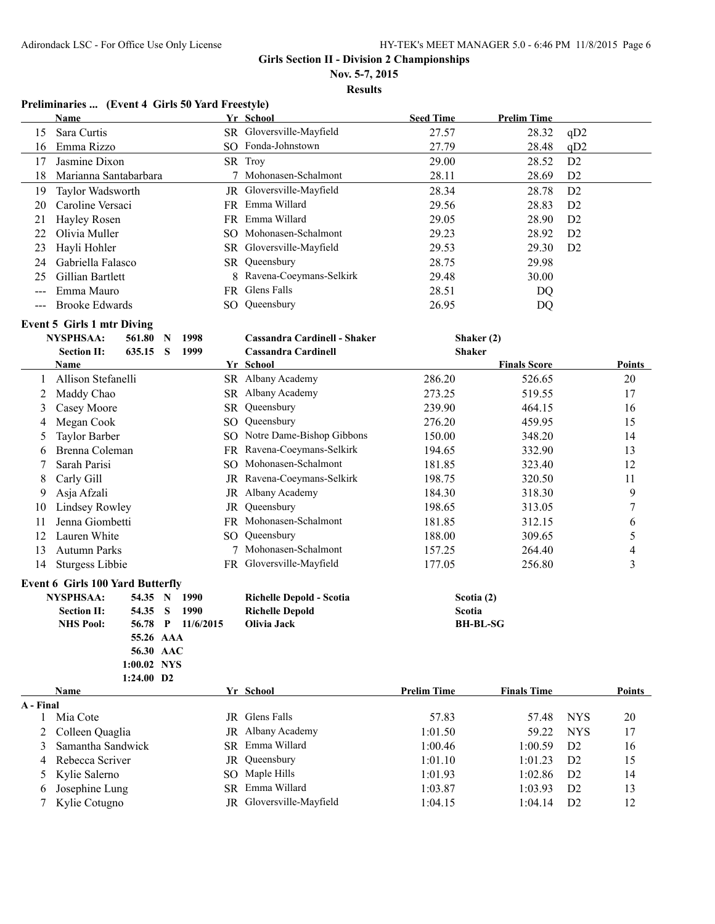**Nov. 5-7, 2015**

**Results**

#### **Preliminaries ... (Event 4 Girls 50 Yard Freestyle)**

|                | <b>Name</b>                             |                  |             |               |                           | Yr School                               | <b>Seed Time</b>   | <b>Prelim Time</b>  |                |        |
|----------------|-----------------------------------------|------------------|-------------|---------------|---------------------------|-----------------------------------------|--------------------|---------------------|----------------|--------|
| 15             | Sara Curtis                             |                  |             |               |                           | SR Gloversville-Mayfield                | 27.57              | 28.32               | qD2            |        |
| 16             | Emma Rizzo                              |                  |             |               |                           | SO Fonda-Johnstown                      | 27.79              | 28.48               | qD2            |        |
| 17             | Jasmine Dixon                           |                  |             |               |                           | SR Troy                                 | 29.00              | 28.52               | D <sub>2</sub> |        |
| 18             | Marianna Santabarbara                   |                  |             |               |                           | Mohonasen-Schalmont                     | 28.11              | 28.69               | D <sub>2</sub> |        |
| 19             | Taylor Wadsworth                        |                  |             |               |                           | JR Gloversville-Mayfield                | 28.34              | 28.78               | D <sub>2</sub> |        |
| 20             | Caroline Versaci                        |                  |             |               |                           | FR Emma Willard                         | 29.56              | 28.83               | D <sub>2</sub> |        |
| 21             | Hayley Rosen                            |                  |             |               |                           | FR Emma Willard                         | 29.05              | 28.90               | D <sub>2</sub> |        |
| 22             | Olivia Muller                           |                  |             |               |                           | SO Mohonasen-Schalmont                  | 29.23              | 28.92               | D <sub>2</sub> |        |
| 23             | Hayli Hohler                            |                  |             |               |                           | SR Gloversville-Mayfield                | 29.53              | 29.30               | D <sub>2</sub> |        |
| 24             | Gabriella Falasco                       |                  |             |               |                           | SR Queensbury                           | 28.75              | 29.98               |                |        |
| 25             |                                         | Gillian Bartlett |             |               | 8 Ravena-Coeymans-Selkirk | 29.48                                   | 30.00              |                     |                |        |
| $---$          | Emma Mauro                              |                  |             |               |                           | FR Glens Falls                          | 28.51              | DQ                  |                |        |
| $---$          | <b>Brooke Edwards</b>                   |                  |             |               |                           | SO Queensbury                           | 26.95              | DQ                  |                |        |
|                |                                         |                  |             |               |                           |                                         |                    |                     |                |        |
|                | <b>Event 5 Girls 1 mtr Diving</b>       |                  |             |               |                           |                                         |                    |                     |                |        |
|                | NYSPHSAA:<br>561.80<br>635.15 S         |                  | $\mathbf N$ | 1998          |                           | Cassandra Cardinell - Shaker            | <b>Shaker</b>      | Shaker (2)          |                |        |
|                | <b>Section II:</b><br>Name              |                  |             | 1999          |                           | <b>Cassandra Cardinell</b><br>Yr School |                    | <b>Finals Score</b> |                | Points |
|                | Allison Stefanelli                      |                  |             |               |                           | SR Albany Academy                       | 286.20             | 526.65              |                | 20     |
| 2              | Maddy Chao                              |                  |             |               |                           | SR Albany Academy                       | 273.25             | 519.55              |                | 17     |
|                |                                         |                  |             |               |                           | Queensbury                              | 239.90             |                     |                |        |
| 3              | Casey Moore                             |                  |             |               | SR                        |                                         |                    | 464.15              |                | 16     |
| 4              | Megan Cook                              |                  |             | SO Queensbury | 276.20                    | 459.95                                  |                    | 15                  |                |        |
| 5              | Taylor Barber                           |                  |             |               |                           | SO Notre Dame-Bishop Gibbons            | 150.00             | 348.20              |                | 14     |
| 6              | Brenna Coleman                          |                  |             |               |                           | FR Ravena-Coeymans-Selkirk              | 194.65             | 332.90              |                | 13     |
| 7              | Sarah Parisi                            |                  |             |               |                           | SO Mohonasen-Schalmont                  | 181.85             | 323.40              |                | 12     |
| 8              | Carly Gill                              |                  |             |               |                           | JR Ravena-Coeymans-Selkirk              | 198.75             | 320.50              |                | 11     |
| 9              | Asja Afzali                             |                  |             |               |                           | JR Albany Academy                       | 184.30             | 318.30              |                | 9      |
| 10             | Lindsey Rowley                          |                  |             |               | JR                        | Queensbury                              | 198.65             | 313.05              |                | 7      |
| 11             | Jenna Giombetti                         |                  |             |               |                           | FR Mohonasen-Schalmont                  | 181.85             | 312.15              |                | 6      |
| 12             | Lauren White                            |                  |             |               | SO.                       | Queensbury                              | 188.00             | 309.65              |                | 5      |
| 13             | <b>Autumn Parks</b>                     |                  |             |               |                           | 7 Mohonasen-Schalmont                   | 157.25             | 264.40              |                | 4      |
| 14             | Sturgess Libbie                         |                  |             |               |                           | FR Gloversville-Mayfield                | 177.05             | 256.80              |                | 3      |
|                | <b>Event 6 Girls 100 Yard Butterfly</b> |                  |             |               |                           |                                         |                    |                     |                |        |
|                | <b>NYSPHSAA:</b><br>54.35 N             |                  |             | 1990          |                           | Richelle Depold - Scotia                | Scotia (2)         |                     |                |        |
|                | <b>Section II:</b><br>54.35             |                  | S           | 1990          |                           | <b>Richelle Depold</b>                  | Scotia             |                     |                |        |
|                | <b>NHS Pool:</b><br>56.78 P             |                  |             | 11/6/2015     |                           | Olivia Jack                             |                    | <b>BH-BL-SG</b>     |                |        |
|                |                                         |                  | 55.26 AAA   |               |                           |                                         |                    |                     |                |        |
|                |                                         |                  | 56.30 AAC   |               |                           |                                         |                    |                     |                |        |
|                | 1:00.02 NYS                             |                  |             |               |                           |                                         |                    |                     |                |        |
|                | 1:24.00 D2                              |                  |             |               |                           |                                         |                    |                     |                |        |
|                | Name                                    |                  |             |               |                           | Yr School                               | <b>Prelim Time</b> | <b>Finals Time</b>  |                | Points |
| A - Final<br>1 | Mia Cote                                |                  |             |               |                           | <b>JR</b> Glens Falls                   | 57.83              | 57.48               | <b>NYS</b>     | 20     |
| 2              | Colleen Quaglia                         |                  |             |               |                           | JR Albany Academy                       | 1:01.50            | 59.22               | <b>NYS</b>     | 17     |
| 3              | Samantha Sandwick                       |                  |             |               | SR -                      | Emma Willard                            | 1:00.46            | 1:00.59             | D <sub>2</sub> | 16     |
| 4              | Rebecca Scriver                         |                  |             |               | JR                        | Queensbury                              | 1:01.10            | 1:01.23             | D <sub>2</sub> | 15     |
| 5              | Kylie Salerno                           |                  |             |               |                           | SO Maple Hills                          | 1:01.93            | 1:02.86             | D <sub>2</sub> | 14     |
| 6              | Josephine Lung                          |                  |             |               |                           | SR Emma Willard                         | 1:03.87            | 1:03.93             | D <sub>2</sub> | 13     |
| 7              | Kylie Cotugno                           |                  |             |               |                           | JR Gloversville-Mayfield                | 1:04.15            | 1:04.14             | D <sub>2</sub> | 12     |
|                |                                         |                  |             |               |                           |                                         |                    |                     |                |        |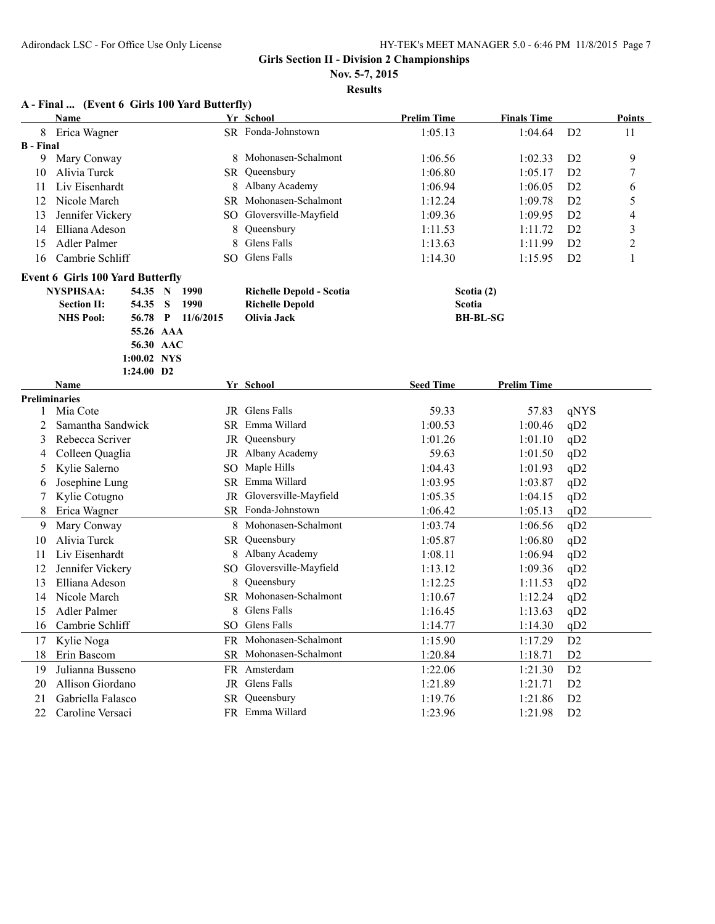**Nov. 5-7, 2015**

**Results**

# **A - Final ... (Event 6 Girls 100 Yard Butterfly)**

|                  | Name                                     |             |  |                        |                        | Yr School                              | <b>Prelim Time</b> | <b>Finals Time</b> |                | <b>Points</b>  |
|------------------|------------------------------------------|-------------|--|------------------------|------------------------|----------------------------------------|--------------------|--------------------|----------------|----------------|
| 8                | Erica Wagner                             |             |  |                        |                        | SR Fonda-Johnstown                     | 1:05.13            | 1:04.64            | D <sub>2</sub> | 11             |
| <b>B</b> - Final |                                          |             |  |                        |                        |                                        |                    |                    |                |                |
| 9                | Mary Conway                              |             |  |                        |                        | 8 Mohonasen-Schalmont                  | 1:06.56            | 1:02.33            | D <sub>2</sub> | 9              |
| 10               | Alivia Turck                             |             |  | SR.                    |                        | Queensbury                             | 1:06.80            | 1:05.17            | D2             | 7              |
| 11               | Liv Eisenhardt                           |             |  |                        |                        | 8 Albany Academy                       | 1:06.94            | 1:06.05            | D2             | 6              |
| 12               | Nicole March                             |             |  |                        |                        | SR Mohonasen-Schalmont                 | 1:12.24            | 1:09.78            | D2             | 5              |
| 13               | Jennifer Vickery                         |             |  |                        |                        | SO Gloversville-Mayfield               | 1:09.36            | 1:09.95            | D2             | 4              |
| 14               | Elliana Adeson                           |             |  |                        | 8                      | Queensbury                             | 1:11.53            | 1:11.72            | D2             | 3              |
| 15               | Adler Palmer                             |             |  |                        | 8                      | Glens Falls                            | 1:13.63            | 1:11.99            | D2             | $\overline{2}$ |
| 16               | Cambrie Schliff                          |             |  | SO.                    |                        | Glens Falls                            | 1:14.30            | 1:15.95            | D2             | 1              |
|                  | <b>Event 6 Girls 100 Yard Butterfly</b>  |             |  |                        |                        |                                        |                    |                    |                |                |
|                  | <b>NYSPHSAA:</b>                         | 54.35 N     |  | 1990                   |                        | <b>Richelle Depold - Scotia</b>        | Scotia (2)         |                    |                |                |
|                  | 54.35<br>S<br>1990<br><b>Section II:</b> |             |  |                        | <b>Richelle Depold</b> | <b>Scotia</b>                          |                    |                    |                |                |
|                  | <b>NHS Pool:</b>                         | 56.78 P     |  | 11/6/2015              |                        | Olivia Jack                            |                    | <b>BH-BL-SG</b>    |                |                |
|                  |                                          | 55.26 AAA   |  |                        |                        |                                        |                    |                    |                |                |
|                  |                                          | 56.30 AAC   |  |                        |                        |                                        |                    |                    |                |                |
|                  |                                          | 1:00.02 NYS |  |                        |                        |                                        |                    |                    |                |                |
|                  |                                          | 1:24.00 D2  |  |                        |                        |                                        |                    |                    |                |                |
|                  | Name                                     |             |  |                        |                        | Yr School                              | <b>Seed Time</b>   | <b>Prelim Time</b> |                |                |
| 1                | <b>Preliminaries</b><br>Mia Cote         |             |  |                        |                        | JR Glens Falls                         | 59.33              | 57.83              | gNYS           |                |
| 2                | Samantha Sandwick                        |             |  |                        |                        | SR Emma Willard                        | 1:00.53            | 1:00.46            | qD2            |                |
| 3                | Rebecca Scriver                          |             |  |                        | JR                     | Queensbury                             | 1:01.26            | 1:01.10            | qD2            |                |
| 4                | Colleen Quaglia                          |             |  |                        |                        | JR Albany Academy                      | 59.63              | 1:01.50            | qD2            |                |
| 5                | Kylie Salerno                            |             |  |                        |                        | SO Maple Hills                         | 1:04.43            | 1:01.93            | qD2            |                |
|                  | Josephine Lung                           |             |  |                        |                        | SR Emma Willard                        | 1:03.95            | 1:03.87            | qD2            |                |
| 6                |                                          |             |  |                        |                        | JR Gloversville-Mayfield               | 1:05.35            |                    |                |                |
| 7<br>8           | Kylie Cotugno<br>Erica Wagner            |             |  |                        |                        | SR Fonda-Johnstown                     |                    | 1:04.15<br>1:05.13 | qD2<br>qD2     |                |
|                  |                                          |             |  |                        |                        | 8 Mohonasen-Schalmont                  | 1:06.42            |                    |                |                |
| 9                | Mary Conway<br>Alivia Turck              |             |  |                        |                        | SR Queensbury                          | 1:03.74            | 1:06.56            | qD2            |                |
| 10               |                                          |             |  |                        |                        | 8 Albany Academy                       | 1:05.87            | 1:06.80            | qD2            |                |
| 11<br>12         | Liv Eisenhardt                           |             |  |                        |                        | SO Gloversville-Mayfield               | 1:08.11            | 1:06.94            | qD2            |                |
|                  | Jennifer Vickery<br>Elliana Adeson       |             |  |                        |                        |                                        | 1:13.12            | 1:09.36            | qD2            |                |
| 13               | Nicole March                             |             |  |                        |                        | 8 Queensbury<br>SR Mohonasen-Schalmont | 1:12.25            | 1:11.53            | qD2            |                |
| 14               |                                          |             |  |                        |                        | 8 Glens Falls                          | 1:10.67            | 1:12.24            | qD2            |                |
| 15               | Adler Palmer                             |             |  |                        |                        | SO Glens Falls                         | 1:16.45            | 1:13.63            | qD2            |                |
| 16               | Cambrie Schliff                          |             |  |                        | 1:14.77                | 1:14.30                                | qD2                |                    |                |                |
| 17               | Kylie Noga                               |             |  | FR Mohonasen-Schalmont | 1:15.90                | 1:17.29                                | D2                 |                    |                |                |
| 18               | Erin Bascom                              |             |  | SR Mohonasen-Schalmont | 1:20.84                | 1:18.71                                | D2                 |                    |                |                |
| 19               | Julianna Busseno                         |             |  |                        |                        | FR Amsterdam                           | 1:22.06            | 1:21.30            | D2             |                |
| 20               | Allison Giordano                         |             |  |                        |                        | JR Glens Falls                         | 1:21.89            | 1:21.71            | D2             |                |
| 21               | Gabriella Falasco                        |             |  |                        |                        | SR Queensbury                          | 1:19.76            | 1:21.86            | D2             |                |
| 22               | Caroline Versaci                         |             |  |                        |                        | FR Emma Willard                        | 1:23.96            | 1:21.98            | D2             |                |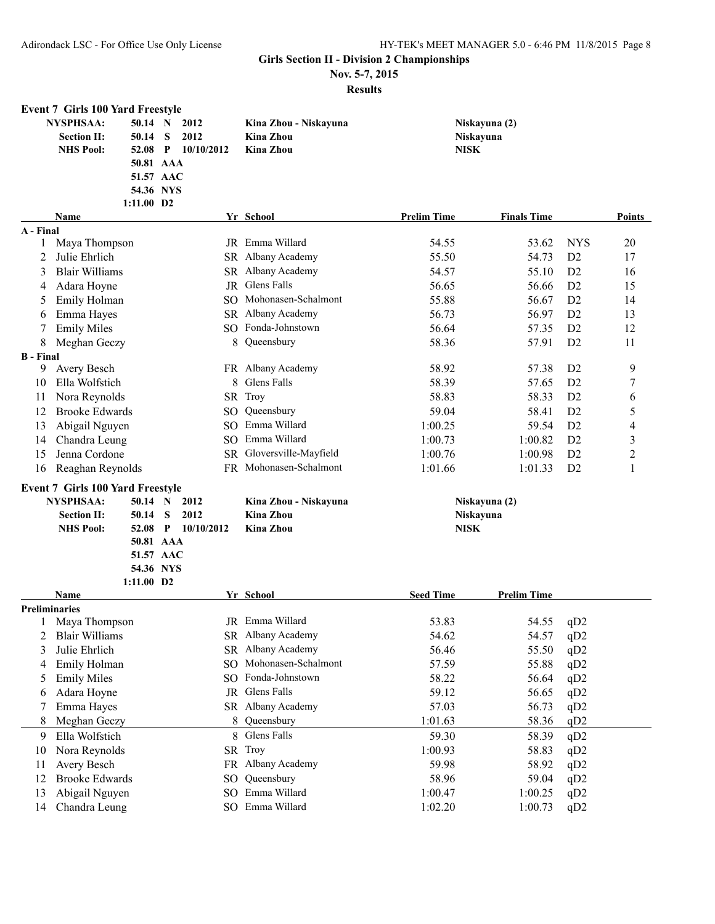**Nov. 5-7, 2015**

|                      | <b>Event 7 Girls 100 Yard Freestyle</b> |                          |                     |                 |                        |                    |                    |                |                |
|----------------------|-----------------------------------------|--------------------------|---------------------|-----------------|------------------------|--------------------|--------------------|----------------|----------------|
|                      | <b>NYSPHSAA:</b>                        | 50.14 N                  |                     | 2012            | Kina Zhou - Niskayuna  |                    | Niskayuna (2)      |                |                |
|                      | <b>Section II:</b>                      | 50.14                    | S                   | 2012            | <b>Kina Zhou</b>       |                    | Niskayuna          |                |                |
|                      | <b>NHS Pool:</b>                        | 52.08                    | $\mathbf{P}$        | 10/10/2012      | Kina Zhou              | <b>NISK</b>        |                    |                |                |
|                      |                                         | 50.81 AAA                |                     |                 |                        |                    |                    |                |                |
|                      |                                         | 51.57 AAC                |                     |                 |                        |                    |                    |                |                |
|                      |                                         | 54.36 NYS                |                     |                 |                        |                    |                    |                |                |
|                      |                                         | 1:11.00 D2               |                     |                 |                        |                    |                    |                |                |
|                      | Name                                    |                          |                     |                 | Yr School              | <b>Prelim Time</b> | <b>Finals Time</b> |                | Points         |
| A - Final            |                                         |                          |                     |                 |                        |                    |                    |                |                |
| 1                    | Maya Thompson                           |                          |                     |                 | JR Emma Willard        | 54.55              | 53.62              | <b>NYS</b>     | 20             |
| 2                    | Julie Ehrlich                           |                          |                     |                 | SR Albany Academy      | 55.50              | 54.73              | D2             | 17             |
| 3                    | <b>Blair Williams</b>                   |                          |                     |                 | SR Albany Academy      | 54.57              | 55.10              | D2             | 16             |
| 4                    | Adara Hoyne<br>JR                       |                          | Glens Falls         | 56.65           | 56.66                  | D2                 | 15                 |                |                |
| 5                    | Emily Holman<br><b>SO</b>               |                          | Mohonasen-Schalmont | 55.88           | 56.67                  | D2                 | 14                 |                |                |
| 6                    | Emma Hayes                              |                          | SR Albany Academy   | 56.73           | 56.97                  | D2                 | 13                 |                |                |
| 7                    | <b>Emily Miles</b>                      |                          |                     |                 | SO Fonda-Johnstown     | 56.64              | 57.35              | D <sub>2</sub> | 12             |
| 8                    | Meghan Geczy                            |                          |                     | 8               | Queensbury             | 58.36              | 57.91              | D <sub>2</sub> | 11             |
| <b>B</b> - Final     |                                         |                          |                     |                 |                        |                    |                    |                |                |
| 9                    | Avery Besch                             |                          |                     |                 | FR Albany Academy      | 58.92              | 57.38              | D <sub>2</sub> | 9              |
| 10                   | Ella Wolfstich                          |                          |                     | 8               | Glens Falls            | 58.39              | 57.65              | D <sub>2</sub> | 7              |
| 11                   | Nora Reynolds                           |                          |                     |                 | SR Troy                | 58.83              | 58.33              | D2             | 6              |
| 12                   | <b>Brooke Edwards</b>                   |                          |                     | SO.             | Queensbury             | 59.04              | 58.41              | D2             | 5              |
|                      |                                         |                          |                     | SO.             | Emma Willard           | 1:00.25            | 59.54              | D2             |                |
| 13                   | Abigail Nguyen                          |                          |                     |                 |                        |                    |                    |                | 4              |
| 14                   | Chandra Leung                           |                          |                     | SO.             | Emma Willard           | 1:00.73            | 1:00.82            | D2             | 3              |
| 15                   | Jenna Cordone                           |                          |                     | <b>SR</b>       | Gloversville-Mayfield  | 1:00.76            | 1:00.98            | D <sub>2</sub> | $\mathfrak{2}$ |
| 16                   | Reaghan Reynolds                        |                          |                     |                 | FR Mohonasen-Schalmont | 1:01.66            | 1:01.33            | D2             | 1              |
|                      | <b>Event 7 Girls 100 Yard Freestyle</b> |                          |                     |                 |                        |                    |                    |                |                |
|                      | <b>NYSPHSAA:</b>                        | 50.14 N                  |                     | 2012            | Kina Zhou - Niskayuna  |                    | Niskayuna (2)      |                |                |
|                      | <b>Section II:</b>                      | 50.14                    | S                   | 2012            | <b>Kina Zhou</b>       |                    | Niskayuna          |                |                |
|                      | <b>NHS Pool:</b>                        | 52.08                    | $\mathbf{P}$        | 10/10/2012      | <b>Kina Zhou</b>       | <b>NISK</b>        |                    |                |                |
|                      |                                         | 50.81 AAA                |                     |                 |                        |                    |                    |                |                |
|                      |                                         | 51.57 AAC                |                     |                 |                        |                    |                    |                |                |
|                      |                                         | 54.36 NYS                |                     |                 |                        |                    |                    |                |                |
|                      |                                         | $1:11.00$ D <sub>2</sub> |                     |                 |                        |                    |                    |                |                |
|                      | Name                                    |                          |                     |                 | Yr School              | <b>Seed Time</b>   | <b>Prelim Time</b> |                |                |
| <b>Preliminaries</b> |                                         |                          |                     |                 |                        |                    |                    |                |                |
|                      | Maya Thompson                           |                          |                     |                 | JR Emma Willard        | 53.83              | 54.55              | qD2            |                |
|                      | <b>Blair Williams</b>                   |                          |                     |                 | SR Albany Academy      | 54.62              | 54.57              | qD2            |                |
| 3                    | Julie Ehrlich                           |                          |                     |                 | SR Albany Academy      | 56.46              | 55.50              | qD2            |                |
| 4                    | Emily Holman                            |                          |                     | SO              | Mohonasen-Schalmont    | 57.59              | 55.88              | qD2            |                |
| 5                    | <b>Emily Miles</b>                      |                          |                     | SO              | Fonda-Johnstown        | 58.22              | 56.64              | qD2            |                |
| 6                    | Adara Hoyne                             |                          |                     |                 | JR Glens Falls         | 59.12              | 56.65              | qD2            |                |
| 7                    | Emma Hayes                              |                          |                     |                 | SR Albany Academy      | 57.03              | 56.73              | qD2            |                |
| 8                    | Meghan Geczy                            |                          |                     | 8               | Queensbury             | 1:01.63            | 58.36              | qD2            |                |
| 9                    | Ella Wolfstich                          |                          |                     | 8               | Glens Falls            | 59.30              | 58.39              | qD2            |                |
| 10                   | Nora Reynolds                           |                          |                     | SR              | Troy                   | 1:00.93            | 58.83              | qD2            |                |
| 11                   | Avery Besch                             |                          |                     | FR              | Albany Academy         | 59.98              | 58.92              | qD2            |                |
| 12                   | <b>Brooke Edwards</b>                   |                          |                     | SO              | Queensbury             | 58.96              | 59.04              | qD2            |                |
| 13                   | Abigail Nguyen                          |                          |                     | SO <sub>1</sub> | Emma Willard           | 1:00.47            | 1:00.25            | qD2            |                |
| 14                   | Chandra Leung                           |                          |                     |                 | SO Emma Willard        | 1:02.20            | 1:00.73            | qD2            |                |
|                      |                                         |                          |                     |                 |                        |                    |                    |                |                |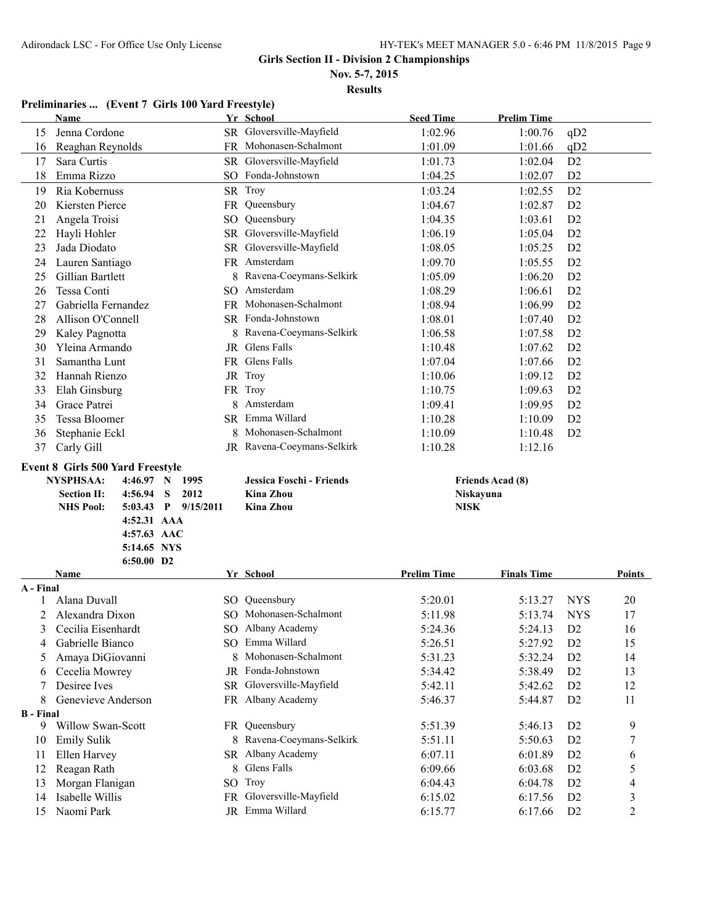**Nov. 5-7, 2015**

**Results**

#### **Preliminaries ... (Event 7 Girls 100 Yard Freestyle)**

|                  | Name                                    |                         | Yr School                                   | <b>Seed Time</b>   | <b>Prelim Time</b>      |                                  |                                  |
|------------------|-----------------------------------------|-------------------------|---------------------------------------------|--------------------|-------------------------|----------------------------------|----------------------------------|
| 15               | Jenna Cordone                           |                         | SR Gloversville-Mayfield                    | 1:02.96            | 1:00.76                 | qD2                              |                                  |
| 16               | Reaghan Reynolds                        |                         | FR Mohonasen-Schalmont                      | 1:01.09            | 1:01.66                 | qD2                              |                                  |
| 17               | Sara Curtis                             |                         | SR Gloversville-Mayfield                    | 1:01.73            | 1:02.04                 | D <sub>2</sub>                   |                                  |
| 18               | Emma Rizzo                              |                         | SO Fonda-Johnstown                          | 1:04.25            | 1:02.07                 | D <sub>2</sub>                   |                                  |
| 19               | Ria Kobernuss                           |                         | SR Troy                                     | 1:03.24            | 1:02.55                 | D2                               |                                  |
| 20               | Kiersten Pierce                         |                         | FR Queensbury                               | 1:04.67            | 1:02.87                 | D2                               |                                  |
| 21               | Angela Troisi                           |                         | SO Queensbury                               | 1:04.35            | 1:03.61                 | D2                               |                                  |
| 22               | Hayli Hohler                            |                         | SR Gloversville-Mayfield                    | 1:06.19            | 1:05.04                 | D2                               |                                  |
| 23               | Jada Diodato                            |                         | SR Gloversville-Mayfield                    | 1:08.05            | 1:05.25                 | D2                               |                                  |
| 24               | Lauren Santiago                         |                         | FR Amsterdam                                | 1:09.70            | 1:05.55                 | D2                               |                                  |
| 25               | Gillian Bartlett                        |                         | 8 Ravena-Coeymans-Selkirk                   | 1:05.09            | 1:06.20                 | D2                               |                                  |
| 26               | Tessa Conti                             |                         | SO Amsterdam                                | 1:08.29            | 1:06.61                 | D2                               |                                  |
| 27               | Gabriella Fernandez                     |                         | FR Mohonasen-Schalmont                      | 1:08.94            | 1:06.99                 | D2                               |                                  |
| 28               | Allison O'Connell                       |                         | SR Fonda-Johnstown                          | 1:08.01            | 1:07.40                 | D2                               |                                  |
| 29               | Kaley Pagnotta                          |                         | 8 Ravena-Coeymans-Selkirk                   | 1:06.58            | 1:07.58                 | D2                               |                                  |
| 30               | Yleina Armando                          |                         | JR Glens Falls                              | 1:10.48            | 1:07.62                 | D2                               |                                  |
| 31               | Samantha Lunt                           |                         | FR Glens Falls                              | 1:07.04            | 1:07.66                 | D <sub>2</sub>                   |                                  |
| 32               | Hannah Rienzo                           |                         | JR Troy                                     | 1:10.06            | 1:09.12                 | D <sub>2</sub>                   |                                  |
| 33               | Elah Ginsburg                           |                         | FR Troy                                     | 1:10.75            | 1:09.63                 | D2                               |                                  |
| 34               | Grace Patrei                            | 8                       | Amsterdam                                   | 1:09.41            | 1:09.95                 | D <sub>2</sub>                   |                                  |
| 35               | Tessa Bloomer                           |                         | SR Emma Willard                             | 1:10.28            | 1:10.09                 | D <sub>2</sub>                   |                                  |
| 36               | Stephanie Eckl                          |                         | Mohonasen-Schalmont                         | 1:10.09            | 1:10.48                 | D <sub>2</sub>                   |                                  |
| 37               | Carly Gill                              |                         | JR Ravena-Coeymans-Selkirk                  | 1:10.28            | 1:12.16                 |                                  |                                  |
|                  |                                         |                         |                                             |                    |                         |                                  |                                  |
|                  |                                         |                         |                                             |                    |                         |                                  |                                  |
|                  | <b>Event 8 Girls 500 Yard Freestyle</b> |                         |                                             |                    |                         |                                  |                                  |
|                  | <b>NYSPHSAA:</b><br>4:46.97 N           | 1995                    | Jessica Foschi - Friends                    |                    | <b>Friends Acad (8)</b> |                                  |                                  |
|                  | <b>Section II:</b><br>4:56.94           | S<br>2012               | <b>Kina Zhou</b>                            | Niskayuna          |                         |                                  |                                  |
|                  | <b>NHS Pool:</b><br>5:03.43             | $P = \frac{9}{15/2011}$ | <b>Kina Zhou</b>                            | <b>NISK</b>        |                         |                                  |                                  |
|                  | 4:52.31 AAA                             |                         |                                             |                    |                         |                                  |                                  |
|                  | 4:57.63 AAC                             |                         |                                             |                    |                         |                                  |                                  |
|                  | 5:14.65 NYS<br>6:50.00 D2               |                         |                                             |                    |                         |                                  |                                  |
|                  | <b>Name</b>                             |                         | Yr School                                   | <b>Prelim Time</b> | <b>Finals Time</b>      |                                  | Points                           |
| A - Final        |                                         |                         |                                             |                    |                         |                                  |                                  |
|                  | Alana Duvall                            |                         | SO Queensbury                               | 5:20.01            | 5:13.27                 | <b>NYS</b>                       | 20                               |
|                  | Alexandra Dixon                         |                         | SO Mohonasen-Schalmont                      | 5:11.98            | 5:13.74                 | <b>NYS</b>                       | 17                               |
| 3                | Cecilia Eisenhardt                      |                         | SO Albany Academy                           | 5:24.36            | 5:24.13                 | D2                               | 16                               |
| 4                | Gabrielle Bianco                        |                         | SO Emma Willard                             | 5:26.51            | 5:27.92                 | D <sub>2</sub>                   | 15                               |
| 5                | Amaya DiGiovanni                        |                         | Mohonasen-Schalmont                         | 5:31.23            | 5:32.24                 | D <sub>2</sub>                   | 14                               |
| 6                | Cecelia Mowrey                          |                         | JR Fonda-Johnstown                          | 5:34.42            | 5:38.49                 | D <sub>2</sub>                   | 13                               |
| 7                | Desiree Ives                            |                         | SR Gloversville-Mayfield                    | 5:42.11            | 5:42.62                 | D <sub>2</sub>                   | 12                               |
| 8                | Genevieve Anderson                      |                         | FR Albany Academy                           | 5:46.37            | 5:44.87                 | D <sub>2</sub>                   | 11                               |
| <b>B</b> - Final |                                         |                         |                                             |                    |                         |                                  |                                  |
| 9                | Willow Swan-Scott                       |                         | FR Queensbury                               | 5:51.39            | 5:46.13                 | D <sub>2</sub>                   | 9                                |
| 10               | <b>Emily Sulik</b>                      |                         | 8 Ravena-Coeymans-Selkirk                   | 5:51.11            | 5:50.63                 | D2                               | $\overline{7}$                   |
| 11               | Ellen Harvey                            |                         | SR Albany Academy                           | 6:07.11            | 6:01.89                 | D <sub>2</sub>                   | 6                                |
| 12               | Reagan Rath                             | 8                       | Glens Falls                                 | 6:09.66            | 6:03.68                 | D <sub>2</sub>                   | 5                                |
| 13               | Morgan Flanigan                         |                         | SO Troy                                     | 6:04.43            | 6:04.78                 | D <sub>2</sub>                   | $\overline{\mathcal{A}}$         |
| 14<br>15         | Isabelle Willis<br>Naomi Park           |                         | FR Gloversville-Mayfield<br>JR Emma Willard | 6:15.02<br>6:15.77 | 6:17.56<br>6:17.66      | D <sub>2</sub><br>D <sub>2</sub> | $\mathfrak{Z}$<br>$\overline{2}$ |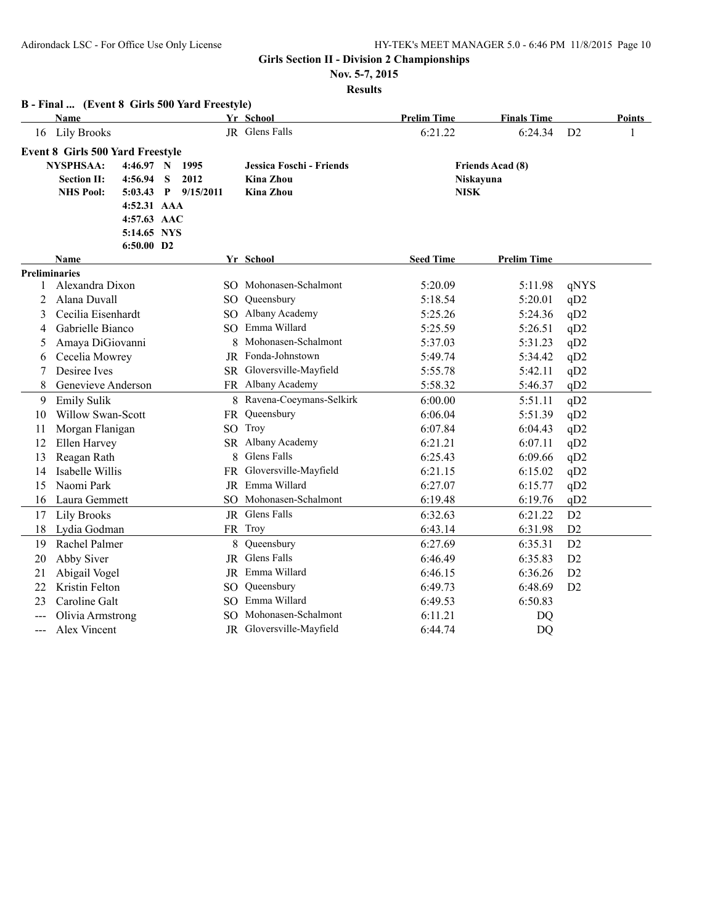**Nov. 5-7, 2015**

|       | B - Final  (Event 8 Girls 500 Yard Freestyle) |                          |   |                     |   |                           |                    |                         |      |        |
|-------|-----------------------------------------------|--------------------------|---|---------------------|---|---------------------------|--------------------|-------------------------|------|--------|
|       | <b>Name</b>                                   |                          |   |                     |   | Yr School                 | <b>Prelim Time</b> | <b>Finals Time</b>      |      | Points |
| 16    | <b>Lily Brooks</b>                            |                          |   |                     |   | JR Glens Falls            | 6:21.22            | 6:24.34                 | D2   |        |
|       | <b>Event 8 Girls 500 Yard Freestyle</b>       |                          |   |                     |   |                           |                    |                         |      |        |
|       | <b>NYSPHSAA:</b>                              | $4:46.97$ N              |   | 1995                |   | Jessica Foschi - Friends  |                    | <b>Friends Acad (8)</b> |      |        |
|       | <b>Section II:</b>                            | 4:56.94                  | S | 2012                |   | <b>Kina Zhou</b>          |                    | Niskayuna               |      |        |
|       | <b>NHS Pool:</b>                              |                          |   | 5:03.43 P 9/15/2011 |   | <b>Kina Zhou</b>          | <b>NISK</b>        |                         |      |        |
|       |                                               | 4:52.31 AAA              |   |                     |   |                           |                    |                         |      |        |
|       |                                               | 4:57.63 AAC              |   |                     |   |                           |                    |                         |      |        |
|       |                                               | 5:14.65 NYS              |   |                     |   |                           |                    |                         |      |        |
|       | Name                                          | $6:50.00$ D <sub>2</sub> |   |                     |   | Yr School                 | <b>Seed Time</b>   | <b>Prelim Time</b>      |      |        |
|       | <b>Preliminaries</b>                          |                          |   |                     |   |                           |                    |                         |      |        |
| 1     | Alexandra Dixon                               |                          |   |                     |   | SO Mohonasen-Schalmont    | 5:20.09            | 5:11.98                 | qNYS |        |
| 2     | Alana Duvall                                  |                          |   |                     |   | SO Queensbury             | 5:18.54            | 5:20.01                 | qD2  |        |
| 3     | Cecilia Eisenhardt                            |                          |   |                     |   | SO Albany Academy         | 5:25.26            | 5:24.36                 | qD2  |        |
| 4     | Gabrielle Bianco                              |                          |   |                     |   | SO Emma Willard           | 5:25.59            | 5:26.51                 | qD2  |        |
| 5     | Amaya DiGiovanni                              |                          |   |                     |   | Mohonasen-Schalmont       | 5:37.03            | 5:31.23                 | qD2  |        |
| 6     | Cecelia Mowrey                                |                          |   |                     |   | JR Fonda-Johnstown        | 5:49.74            | 5:34.42                 | qD2  |        |
| 7     | Desiree Ives                                  |                          |   |                     |   | SR Gloversville-Mayfield  | 5:55.78            | 5:42.11                 | qD2  |        |
| 8     | Genevieve Anderson                            |                          |   |                     |   | FR Albany Academy         | 5:58.32            | 5:46.37                 | qD2  |        |
| 9     | <b>Emily Sulik</b>                            |                          |   |                     |   | 8 Ravena-Coeymans-Selkirk | 6:00.00            | 5:51.11                 | qD2  |        |
| 10    | Willow Swan-Scott                             |                          |   |                     |   | FR Queensbury             | 6:06.04            | 5:51.39                 | qD2  |        |
| 11    | Morgan Flanigan                               |                          |   |                     |   | SO Troy                   | 6:07.84            | 6:04.43                 | qD2  |        |
| 12    | Ellen Harvey                                  |                          |   |                     |   | SR Albany Academy         | 6:21.21            | 6:07.11                 | qD2  |        |
| 13    | Reagan Rath                                   |                          |   |                     | 8 | <b>Glens Falls</b>        | 6:25.43            | 6:09.66                 | qD2  |        |
| 14    | Isabelle Willis                               |                          |   |                     |   | FR Gloversville-Mayfield  | 6:21.15            | 6:15.02                 | qD2  |        |
| 15    | Naomi Park                                    |                          |   |                     |   | <b>JR</b> Emma Willard    | 6:27.07            | 6:15.77                 | qD2  |        |
| 16    | Laura Gemmett                                 |                          |   |                     |   | SO Mohonasen-Schalmont    | 6:19.48            | 6:19.76                 | qD2  |        |
| 17    | Lily Brooks                                   |                          |   |                     |   | JR Glens Falls            | 6:32.63            | 6:21.22                 | D2   |        |
| 18    | Lydia Godman                                  |                          |   |                     |   | FR Troy                   | 6:43.14            | 6:31.98                 | D2   |        |
| 19    | Rachel Palmer                                 |                          |   |                     | 8 | Queensbury                | 6:27.69            | 6:35.31                 | D2   |        |
| 20    | Abby Siver                                    |                          |   |                     |   | JR Glens Falls            | 6:46.49            | 6:35.83                 | D2   |        |
| 21    | Abigail Vogel                                 |                          |   |                     |   | JR Emma Willard           | 6:46.15            | 6:36.26                 | D2   |        |
| 22    | <b>Kristin Felton</b>                         |                          |   |                     |   | SO Queensbury             | 6:49.73            | 6:48.69                 | D2   |        |
| 23    | Caroline Galt                                 |                          |   |                     |   | SO Emma Willard           | 6:49.53            | 6:50.83                 |      |        |
| $---$ | Olivia Armstrong                              |                          |   |                     |   | SO Mohonasen-Schalmont    | 6:11.21            | DQ                      |      |        |
| ---   | Alex Vincent                                  |                          |   |                     |   | JR Gloversville-Mayfield  | 6:44.74            | DQ                      |      |        |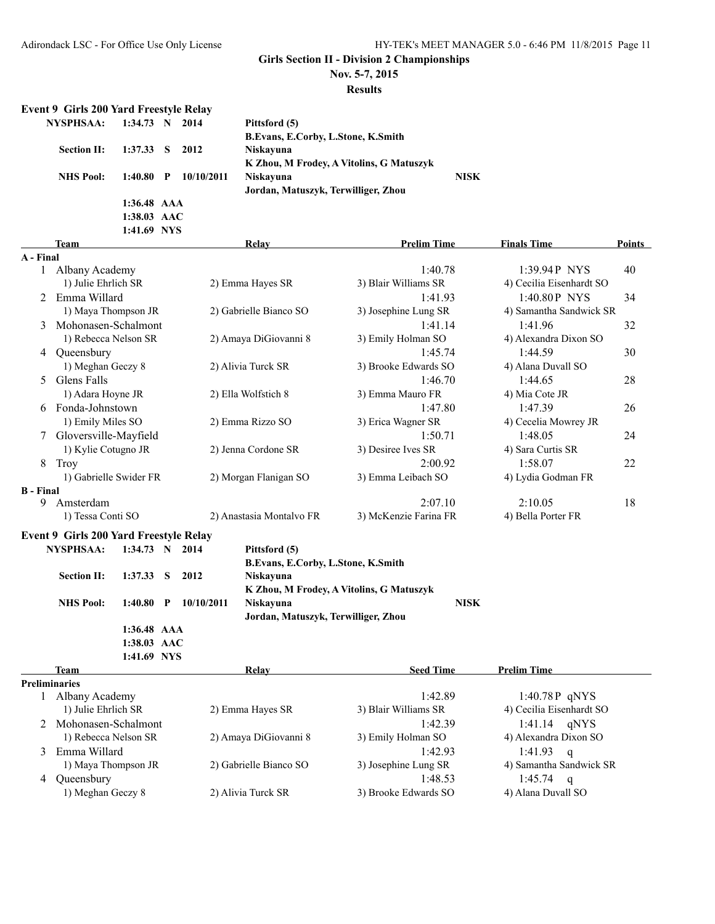**Nov. 5-7, 2015**

**Results**

# **Event 9 Girls 200 Yard Freestyle Relay**

| NYSPHSAA:          | $1:34.73 \quad N \quad 2014$ |            | Pittsford (5)                            |             |
|--------------------|------------------------------|------------|------------------------------------------|-------------|
|                    |                              |            | B. Evans, E. Corby, L. Stone, K. Smith   |             |
| <b>Section II:</b> | $1:37.33$ S                  | 2012       | Niskavuna                                |             |
|                    |                              |            | K Zhou, M Frodey, A Vitolins, G Matuszyk |             |
| <b>NHS</b> Pool:   | $1:40.80$ P                  | 10/10/2011 | Niskayuna                                | <b>NISK</b> |
|                    |                              |            | Jordan, Matuszyk, Terwilliger, Zhou      |             |
|                    | $1:36.48$ AAA                |            |                                          |             |
|                    | 1:38.03 AAC                  |            |                                          |             |

|                  |                                               | 1:41.69 NYS                  |              |            |                                        |                                          |                          |               |
|------------------|-----------------------------------------------|------------------------------|--------------|------------|----------------------------------------|------------------------------------------|--------------------------|---------------|
|                  | <b>Team</b>                                   |                              |              |            | Relay                                  | <b>Prelim Time</b>                       | <b>Finals Time</b>       | <b>Points</b> |
| A - Final        |                                               |                              |              |            |                                        |                                          |                          |               |
|                  | 1 Albany Academy                              |                              |              |            |                                        | 1:40.78                                  | 1:39.94P NYS             | 40            |
|                  | 1) Julie Ehrlich SR                           |                              |              |            | 2) Emma Hayes SR                       | 3) Blair Williams SR                     | 4) Cecilia Eisenhardt SO |               |
| 2                | Emma Willard                                  |                              |              |            |                                        | 1:41.93                                  | 1:40.80P NYS             | 34            |
|                  | 1) Maya Thompson JR                           |                              |              |            | 2) Gabrielle Bianco SO                 | 3) Josephine Lung SR                     | 4) Samantha Sandwick SR  |               |
| 3                | Mohonasen-Schalmont                           |                              |              |            |                                        | 1:41.14                                  | 1:41.96                  | 32            |
|                  | 1) Rebecca Nelson SR                          |                              |              |            | 2) Amaya DiGiovanni 8                  | 3) Emily Holman SO                       | 4) Alexandra Dixon SO    |               |
| 4                | Queensbury                                    |                              |              |            |                                        | 1:45.74                                  | 1:44.59                  | 30            |
|                  | 1) Meghan Geczy 8                             |                              |              |            | 2) Alivia Turck SR                     | 3) Brooke Edwards SO                     | 4) Alana Duvall SO       |               |
| 5                | Glens Falls                                   |                              |              |            |                                        | 1:46.70                                  | 1:44.65                  | 28            |
|                  | 1) Adara Hoyne JR                             |                              |              |            | 2) Ella Wolfstich 8                    | 3) Emma Mauro FR                         | 4) Mia Cote JR           |               |
| 6                | Fonda-Johnstown                               |                              |              |            |                                        | 1:47.80                                  | 1:47.39                  | 26            |
|                  | 1) Emily Miles SO                             |                              |              |            |                                        | 3) Erica Wagner SR                       | 4) Cecelia Mowrey JR     |               |
|                  | Gloversville-Mayfield                         |                              |              |            | 2) Emma Rizzo SO<br>1:50.71<br>1:48.05 |                                          | 24                       |               |
|                  | 1) Kylie Cotugno JR                           |                              |              |            | 2) Jenna Cordone SR                    | 3) Desiree Ives SR                       | 4) Sara Curtis SR        |               |
| 8                | Troy                                          |                              |              |            |                                        | 2:00.92                                  | 1:58.07                  | 22            |
|                  | 1) Gabrielle Swider FR                        |                              |              |            | 2) Morgan Flanigan SO                  | 3) Emma Leibach SO                       | 4) Lydia Godman FR       |               |
| <b>B</b> - Final |                                               |                              |              |            |                                        |                                          |                          |               |
| 9                | Amsterdam                                     |                              |              |            |                                        | 2:07.10                                  | 2:10.05                  | 18            |
|                  | 1) Tessa Conti SO                             |                              |              |            | 2) Anastasia Montalvo FR               | 3) McKenzie Farina FR                    | 4) Bella Porter FR       |               |
|                  | <b>Event 9 Girls 200 Yard Freestyle Relay</b> |                              |              |            |                                        |                                          |                          |               |
|                  | <b>NYSPHSAA:</b>                              | $1:34.73 \quad N \quad 2014$ |              |            | Pittsford (5)                          |                                          |                          |               |
|                  |                                               |                              |              |            | B.Evans, E.Corby, L.Stone, K.Smith     |                                          |                          |               |
|                  | <b>Section II:</b>                            | 1:37.33                      | - S          | 2012       | Niskayuna                              |                                          |                          |               |
|                  |                                               |                              |              |            |                                        | K Zhou, M Frodey, A Vitolins, G Matuszyk |                          |               |
|                  | <b>NHS Pool:</b>                              | 1:40.80                      | $\mathbf{P}$ | 10/10/2011 | Niskayuna                              | <b>NISK</b>                              |                          |               |
|                  |                                               |                              |              |            | Jordan, Matuszyk, Terwilliger, Zhou    |                                          |                          |               |
|                  |                                               | 1:36.48 AAA                  |              |            |                                        |                                          |                          |               |
|                  |                                               | 1:38.03 AAC                  |              |            |                                        |                                          |                          |               |
|                  |                                               | 1:41.69 NYS                  |              |            |                                        |                                          |                          |               |
|                  | Team                                          |                              |              |            | Relay                                  | <b>Seed Time</b>                         | <b>Prelim Time</b>       |               |
|                  | <b>Preliminaries</b>                          |                              |              |            |                                        |                                          |                          |               |
|                  | Albany Academy                                |                              |              |            |                                        | 1:42.89                                  | 1:40.78 P qNYS           |               |
|                  | 1) Julie Ehrlich SR                           |                              |              |            | 2) Emma Hayes SR                       | 3) Blair Williams SR                     | 4) Cecilia Eisenhardt SO |               |
| 2                | Mohonasen-Schalmont                           |                              |              |            |                                        | 1:42.39                                  | 1:41.14<br>qNYS          |               |
|                  | 1) Rebecca Nelson SR                          |                              |              |            | 2) Amaya DiGiovanni 8                  | 3) Emily Holman SO                       | 4) Alexandra Dixon SO    |               |

|                     |                        | .                    |                         |
|---------------------|------------------------|----------------------|-------------------------|
| 1) Maya Thompson JR | 2) Gabrielle Bianco SO | 3) Josephine Lung SR | 4) Samantha Sandwick SR |
| 4 Oueensbury        |                        | 1:48.53              | 1:45.74<br>- a          |
| 1) Meghan Geczy 8   | 2) Alivia Turck SR     | 3) Brooke Edwards SO | 4) Alana Duvall SO      |

# 3 Emma Willard 1:42.93 1:41.93 q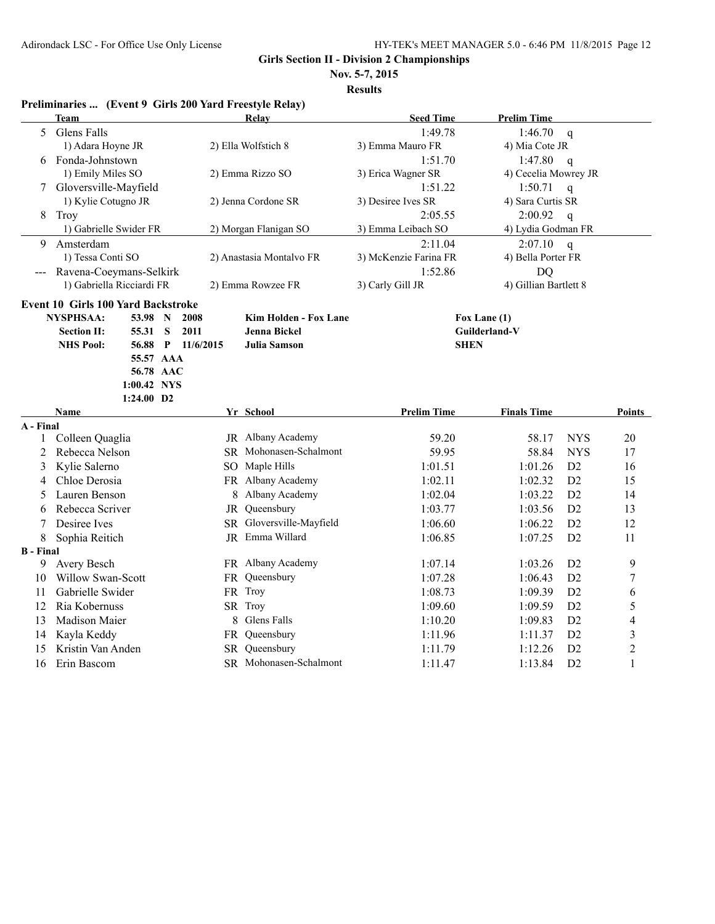**Nov. 5-7, 2015**

| <b>Team</b><br><b>Seed Time</b><br>Relay<br><b>Prelim Time</b><br>Glens Falls<br>1:49.78<br>5<br>1:46.70<br>$\mathbf q$<br>2) Ella Wolfstich 8<br>1) Adara Hoyne JR<br>3) Emma Mauro FR<br>4) Mia Cote JR<br>6 Fonda-Johnstown<br>1:51.70<br>1:47.80<br>$\mathsf{q}$<br>1) Emily Miles SO<br>2) Emma Rizzo SO<br>3) Erica Wagner SR<br>4) Cecelia Mowrey JR<br>Gloversville-Mayfield<br>1:51.22<br>1:50.71<br>$\mathbf{q}$<br>7<br>1) Kylie Cotugno JR<br>3) Desiree Ives SR<br>4) Sara Curtis SR<br>2) Jenna Cordone SR<br>8<br>Troy<br>2:05.55<br>2:00.92<br>$\mathbf q$<br>1) Gabrielle Swider FR<br>2) Morgan Flanigan SO<br>3) Emma Leibach SO<br>4) Lydia Godman FR<br>Amsterdam<br>2:11.04<br>9<br>2:07.10<br>$\mathbf q$ |                |
|----------------------------------------------------------------------------------------------------------------------------------------------------------------------------------------------------------------------------------------------------------------------------------------------------------------------------------------------------------------------------------------------------------------------------------------------------------------------------------------------------------------------------------------------------------------------------------------------------------------------------------------------------------------------------------------------------------------------------------|----------------|
|                                                                                                                                                                                                                                                                                                                                                                                                                                                                                                                                                                                                                                                                                                                                  |                |
|                                                                                                                                                                                                                                                                                                                                                                                                                                                                                                                                                                                                                                                                                                                                  |                |
|                                                                                                                                                                                                                                                                                                                                                                                                                                                                                                                                                                                                                                                                                                                                  |                |
|                                                                                                                                                                                                                                                                                                                                                                                                                                                                                                                                                                                                                                                                                                                                  |                |
|                                                                                                                                                                                                                                                                                                                                                                                                                                                                                                                                                                                                                                                                                                                                  |                |
|                                                                                                                                                                                                                                                                                                                                                                                                                                                                                                                                                                                                                                                                                                                                  |                |
|                                                                                                                                                                                                                                                                                                                                                                                                                                                                                                                                                                                                                                                                                                                                  |                |
|                                                                                                                                                                                                                                                                                                                                                                                                                                                                                                                                                                                                                                                                                                                                  |                |
|                                                                                                                                                                                                                                                                                                                                                                                                                                                                                                                                                                                                                                                                                                                                  |                |
|                                                                                                                                                                                                                                                                                                                                                                                                                                                                                                                                                                                                                                                                                                                                  |                |
| 1) Tessa Conti SO<br>3) McKenzie Farina FR<br>4) Bella Porter FR<br>2) Anastasia Montalvo FR                                                                                                                                                                                                                                                                                                                                                                                                                                                                                                                                                                                                                                     |                |
| Ravena-Coeymans-Selkirk<br>1:52.86<br>DQ                                                                                                                                                                                                                                                                                                                                                                                                                                                                                                                                                                                                                                                                                         |                |
| 1) Gabriella Ricciardi FR<br>2) Emma Rowzee FR<br>3) Carly Gill JR<br>4) Gillian Bartlett 8                                                                                                                                                                                                                                                                                                                                                                                                                                                                                                                                                                                                                                      |                |
| <b>Event 10 Girls 100 Yard Backstroke</b>                                                                                                                                                                                                                                                                                                                                                                                                                                                                                                                                                                                                                                                                                        |                |
| <b>NYSPHSAA:</b><br>2008<br>Kim Holden - Fox Lane<br>53.98<br>$\mathbf N$<br>Fox Lane (1)                                                                                                                                                                                                                                                                                                                                                                                                                                                                                                                                                                                                                                        |                |
| S<br>2011<br><b>Jenna Bickel</b><br>Guilderland-V<br><b>Section II:</b><br>55.31                                                                                                                                                                                                                                                                                                                                                                                                                                                                                                                                                                                                                                                 |                |
| <b>NHS Pool:</b><br>$P = 11/6/2015$<br>Julia Samson<br><b>SHEN</b><br>56.88                                                                                                                                                                                                                                                                                                                                                                                                                                                                                                                                                                                                                                                      |                |
| 55.57 AAA                                                                                                                                                                                                                                                                                                                                                                                                                                                                                                                                                                                                                                                                                                                        |                |
| 56.78 AAC                                                                                                                                                                                                                                                                                                                                                                                                                                                                                                                                                                                                                                                                                                                        |                |
| 1:00.42 NYS                                                                                                                                                                                                                                                                                                                                                                                                                                                                                                                                                                                                                                                                                                                      |                |
| 1:24.00 D2                                                                                                                                                                                                                                                                                                                                                                                                                                                                                                                                                                                                                                                                                                                       |                |
| <b>Prelim Time</b><br><b>Finals Time</b><br>Name<br>Yr School                                                                                                                                                                                                                                                                                                                                                                                                                                                                                                                                                                                                                                                                    | Points         |
| A - Final<br><b>NYS</b>                                                                                                                                                                                                                                                                                                                                                                                                                                                                                                                                                                                                                                                                                                          |                |
| Colleen Quaglia<br>JR Albany Academy<br>59.20<br>58.17<br>1<br>SR Mohonasen-Schalmont<br>59.95                                                                                                                                                                                                                                                                                                                                                                                                                                                                                                                                                                                                                                   | 20             |
| Rebecca Nelson<br><b>NYS</b><br>2<br>58.84<br>SO Maple Hills<br>1:01.51<br>D <sub>2</sub>                                                                                                                                                                                                                                                                                                                                                                                                                                                                                                                                                                                                                                        | 17             |
| Kylie Salerno<br>3<br>1:01.26<br>FR Albany Academy<br>Chloe Derosia<br>D <sub>2</sub>                                                                                                                                                                                                                                                                                                                                                                                                                                                                                                                                                                                                                                            | 16<br>15       |
| 1:02.11<br>1:02.32<br>4<br>Albany Academy<br>Lauren Benson<br>D2<br>8<br>1:02.04<br>1:03.22                                                                                                                                                                                                                                                                                                                                                                                                                                                                                                                                                                                                                                      | 14             |
| 5<br>JR Queensbury<br>Rebecca Scriver<br>D2<br>1:03.77<br>1:03.56                                                                                                                                                                                                                                                                                                                                                                                                                                                                                                                                                                                                                                                                | 13             |
| 6<br>SR Gloversville-Mayfield<br>D <sub>2</sub><br>Desiree Ives<br>1:06.60<br>1:06.22                                                                                                                                                                                                                                                                                                                                                                                                                                                                                                                                                                                                                                            | 12             |
| 7<br>JR Emma Willard                                                                                                                                                                                                                                                                                                                                                                                                                                                                                                                                                                                                                                                                                                             |                |
| 8<br>Sophia Reitich<br>1:06.85<br>1:07.25<br>D2                                                                                                                                                                                                                                                                                                                                                                                                                                                                                                                                                                                                                                                                                  | 11             |
| <b>B</b> - Final<br>Avery Besch<br>FR Albany Academy<br>9<br>1:07.14<br>1:03.26<br>D <sub>2</sub>                                                                                                                                                                                                                                                                                                                                                                                                                                                                                                                                                                                                                                | 9              |
| Willow Swan-Scott<br>FR Queensbury<br>D <sub>2</sub><br>10<br>1:07.28<br>1:06.43                                                                                                                                                                                                                                                                                                                                                                                                                                                                                                                                                                                                                                                 | $\overline{7}$ |
| FR Troy<br>Gabrielle Swider<br>1:08.73<br>D2<br>11<br>1:09.39                                                                                                                                                                                                                                                                                                                                                                                                                                                                                                                                                                                                                                                                    | 6              |
| SR Troy<br>D2<br>12<br>Ria Kobernuss<br>1:09.60<br>1:09.59                                                                                                                                                                                                                                                                                                                                                                                                                                                                                                                                                                                                                                                                       | 5              |
| Glens Falls<br>13<br>Madison Maier<br>8<br>1:10.20<br>1:09.83<br>D <sub>2</sub>                                                                                                                                                                                                                                                                                                                                                                                                                                                                                                                                                                                                                                                  | 4              |
| FR Queensbury<br>D <sub>2</sub><br>Kayla Keddy<br>1:11.96<br>1:11.37<br>14                                                                                                                                                                                                                                                                                                                                                                                                                                                                                                                                                                                                                                                       | 3              |
| SR Queensbury<br>Kristin Van Anden<br>D <sub>2</sub><br>15<br>1:11.79<br>1:12.26                                                                                                                                                                                                                                                                                                                                                                                                                                                                                                                                                                                                                                                 | $\overline{c}$ |
| SR Mohonasen-Schalmont<br>D2<br>16<br>Erin Bascom<br>1:11.47<br>1:13.84                                                                                                                                                                                                                                                                                                                                                                                                                                                                                                                                                                                                                                                          |                |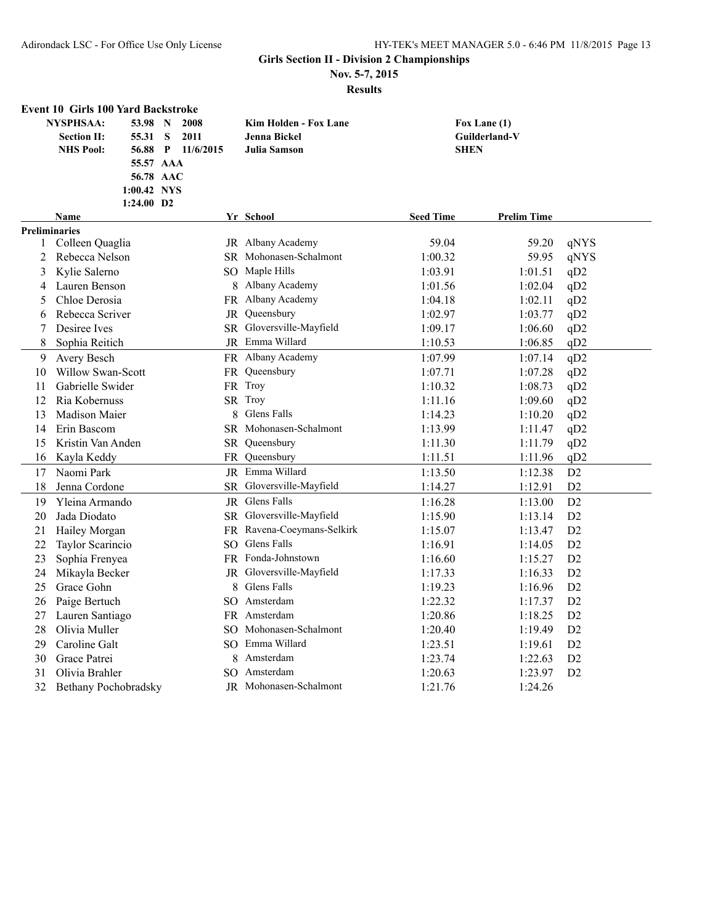**Nov. 5-7, 2015**

|                           | <b>Event 10 Girls 100 Yard Backstroke</b> |                |                            |                                        |                            |
|---------------------------|-------------------------------------------|----------------|----------------------------|----------------------------------------|----------------------------|
|                           | <b>NYSPHSAA:</b><br>53.98                 | 2008<br>N      | Kim Holden - Fox Lane      | Fox Lane (1)                           |                            |
|                           | <b>Section II:</b><br>55.31               | S<br>2011      | <b>Jenna Bickel</b>        | Guilderland-V                          |                            |
|                           | <b>NHS Pool:</b><br>56.88                 | 11/6/2015<br>P | <b>Julia Samson</b>        | <b>SHEN</b>                            |                            |
|                           | 55.57 AAA                                 |                |                            |                                        |                            |
|                           | 56.78 AAC                                 |                |                            |                                        |                            |
|                           | 1:00.42 NYS                               |                |                            |                                        |                            |
|                           | $1:24.00$ D2                              |                |                            |                                        |                            |
|                           | <b>Name</b>                               |                | Yr School                  | <b>Seed Time</b><br><b>Prelim Time</b> |                            |
| <b>Preliminaries</b><br>1 | Colleen Quaglia                           |                | JR Albany Academy          | 59.04                                  | qNYS<br>59.20              |
| 2                         | Rebecca Nelson                            |                | SR Mohonasen-Schalmont     | 1:00.32                                | 59.95<br>qNYS              |
| 3                         | Kylie Salerno                             |                | SO Maple Hills             | 1:03.91                                | 1:01.51<br>qD <sub>2</sub> |
| 4                         | Lauren Benson                             |                | 8 Albany Academy           | 1:01.56                                | 1:02.04<br>qD <sub>2</sub> |
| 5                         | Chloe Derosia                             |                | FR Albany Academy          | 1:04.18                                | 1:02.11<br>qD <sub>2</sub> |
| 6                         | Rebecca Scriver                           | JR             | Queensbury                 | 1:02.97                                | 1:03.77<br>qD2             |
| 7                         | Desiree Ives                              |                | SR Gloversville-Mayfield   | 1:09.17                                | 1:06.60<br>qD2             |
| 8                         | Sophia Reitich                            |                | JR Emma Willard            | 1:10.53                                | qD2<br>1:06.85             |
| 9                         | Avery Besch                               |                | FR Albany Academy          | 1:07.99                                | 1:07.14<br>qD2             |
| 10                        | Willow Swan-Scott                         | FR             | Queensbury                 | 1:07.71                                | 1:07.28<br>qD2             |
| 11                        | Gabrielle Swider                          |                | FR Troy                    | 1:10.32                                | 1:08.73<br>qD <sub>2</sub> |
| 12                        | Ria Kobernuss                             |                | SR Troy                    | 1:11.16                                | 1:09.60<br>qD2             |
| 13                        | <b>Madison Maier</b>                      |                | 8 Glens Falls              | 1:14.23                                | 1:10.20<br>qD2             |
| 14                        | Erin Bascom                               |                | SR Mohonasen-Schalmont     | 1:13.99                                | 1:11.47<br>qD2             |
| 15                        | Kristin Van Anden                         | SR             | Queensbury                 | 1:11.30                                | 1:11.79<br>qD <sub>2</sub> |
| 16                        | Kayla Keddy                               |                | FR Queensbury              | 1:11.51                                | qD <sub>2</sub><br>1:11.96 |
| 17                        | Naomi Park                                |                | JR Emma Willard            | 1:13.50                                | 1:12.38<br>D2              |
| 18                        | Jenna Cordone                             |                | SR Gloversville-Mayfield   | 1:14.27                                | 1:12.91<br>D <sub>2</sub>  |
| 19                        | Yleina Armando                            |                | JR Glens Falls             | 1:16.28                                | D2<br>1:13.00              |
| 20                        | Jada Diodato                              |                | SR Gloversville-Mayfield   | 1:15.90                                | D2<br>1:13.14              |
| 21                        | Hailey Morgan                             |                | FR Ravena-Coeymans-Selkirk | 1:15.07                                | D2<br>1:13.47              |
| 22                        | Taylor Scarincio                          |                | SO Glens Falls             | 1:16.91                                | 1:14.05<br>D2              |
| 23                        | Sophia Frenyea                            |                | FR Fonda-Johnstown         | 1:16.60                                | D2<br>1:15.27              |
| 24                        | Mikayla Becker                            |                | JR Gloversville-Mayfield   | 1:17.33                                | D2<br>1:16.33              |
| 25                        | Grace Gohn                                |                | 8 Glens Falls              | 1:19.23                                | D2<br>1:16.96              |
| 26                        | Paige Bertuch                             |                | SO Amsterdam               | 1:22.32                                | D2<br>1:17.37              |
| 27                        | Lauren Santiago                           |                | FR Amsterdam               | 1:20.86                                | D2<br>1:18.25              |
| 28                        | Olivia Muller                             |                | SO Mohonasen-Schalmont     | 1:20.40                                | D2<br>1:19.49              |
| 29                        | Caroline Galt                             |                | SO Emma Willard            | 1:23.51                                | D2<br>1:19.61              |
| 30                        | Grace Patrei                              |                | 8 Amsterdam                | 1:23.74                                | 1:22.63<br>D2              |
| 31                        | Olivia Brahler                            |                | SO Amsterdam               | 1:20.63                                | 1:23.97<br>D2              |
| 32                        | Bethany Pochobradsky                      |                | JR Mohonasen-Schalmont     | 1:21.76                                | 1:24.26                    |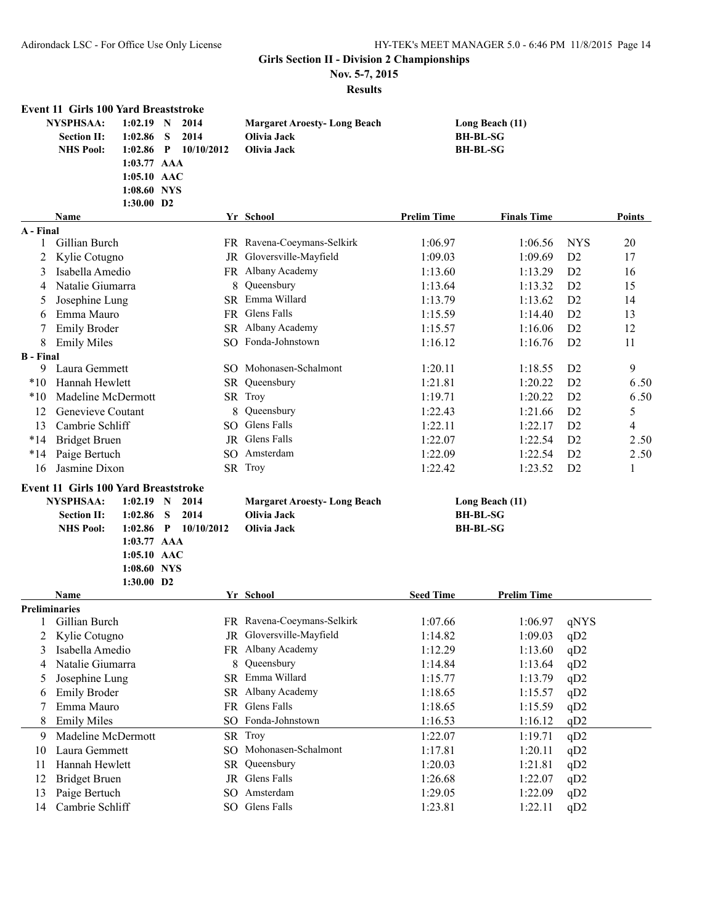**Nov. 5-7, 2015**

| <b>NYSPHSAA:</b><br>$1:02.19$ N<br>2014<br>Long Beach (11)<br><b>Margaret Aroesty-Long Beach</b><br>S<br>2014<br>Olivia Jack<br><b>BH-BL-SG</b><br><b>Section II:</b><br>1:02.86<br><b>NHS Pool:</b><br>$\mathbf{P}$<br>10/10/2012<br>Olivia Jack<br><b>BH-BL-SG</b><br>1:02.86<br>$1:03.77$ AAA<br>1:05.10 AAC<br>1:08.60 NYS<br>1:30.00 D2<br>Yr School<br><b>Prelim Time</b><br><b>Finals Time</b><br>Points<br><b>Name</b><br>A - Final<br>FR Ravena-Coeymans-Selkirk<br>Gillian Burch<br><b>NYS</b><br>20<br>1:06.97<br>1:06.56<br>1<br>JR Gloversville-Mayfield<br>Kylie Cotugno<br>D2<br>2<br>1:09.03<br>1:09.69<br>17<br>Isabella Amedio<br>FR Albany Academy<br>D2<br>1:13.60<br>1:13.29<br>3<br>16<br>Queensbury<br>Natalie Giumarra<br>1:13.64<br>D <sub>2</sub><br>15<br>8<br>1:13.32<br>4<br>SR Emma Willard<br>D2<br>Josephine Lung<br>1:13.79<br>1:13.62<br>14<br>5<br><b>Glens Falls</b><br>Emma Mauro<br>D2<br><b>FR</b><br>1:15.59<br>1:14.40<br>13<br>6<br>SR Albany Academy<br>D2<br>12<br><b>Emily Broder</b><br>1:15.57<br>1:16.06<br>7<br>SO Fonda-Johnstown<br>1:16.12<br>D2<br>8<br><b>Emily Miles</b><br>1:16.76<br>11<br><b>B</b> - Final<br>SO Mohonasen-Schalmont<br>9<br>9<br>Laura Gemmett<br>1:20.11<br>1:18.55<br>D <sub>2</sub><br>Hannah Hewlett<br>SR Queensbury<br>$*10$<br>1:21.81<br>1:20.22<br>D <sub>2</sub><br>6.50<br>SR Troy<br>Madeline McDermott<br>D2<br>6.50<br>$*10$<br>1:19.71<br>1:20.22<br>Genevieve Coutant<br>Queensbury<br>D2<br>5<br>12<br>1:22.43<br>1:21.66<br>8<br>Glens Falls<br>Cambrie Schliff<br>13<br>SO.<br>1:22.11<br>1:22.17<br>D <sub>2</sub><br>4<br>JR Glens Falls<br>$*14$<br><b>Bridget Bruen</b><br>1:22.07<br>1:22.54<br>D <sub>2</sub><br>2.50<br>Amsterdam<br>Paige Bertuch<br>1:22.09<br>D2<br>2.50<br>$*14$<br>SO.<br>1:22.54<br>Jasmine Dixon<br>SR Troy<br>1:22.42<br>1:23.52<br>D2<br>16<br>1<br><b>Event 11 Girls 100 Yard Breaststroke</b><br><b>NYSPHSAA:</b><br>$1:02.19$ N<br>2014<br><b>Margaret Aroesty-Long Beach</b><br>Long Beach (11)<br>2014<br>Olivia Jack<br><b>Section II:</b><br>1:02.86<br>S<br><b>BH-BL-SG</b><br>$\mathbf{P}$<br>10/10/2012<br><b>BH-BL-SG</b><br><b>NHS Pool:</b><br>1:02.86<br>Olivia Jack<br>1:03.77 AAA<br>1:05.10 AAC<br>1:08.60 NYS |
|---------------------------------------------------------------------------------------------------------------------------------------------------------------------------------------------------------------------------------------------------------------------------------------------------------------------------------------------------------------------------------------------------------------------------------------------------------------------------------------------------------------------------------------------------------------------------------------------------------------------------------------------------------------------------------------------------------------------------------------------------------------------------------------------------------------------------------------------------------------------------------------------------------------------------------------------------------------------------------------------------------------------------------------------------------------------------------------------------------------------------------------------------------------------------------------------------------------------------------------------------------------------------------------------------------------------------------------------------------------------------------------------------------------------------------------------------------------------------------------------------------------------------------------------------------------------------------------------------------------------------------------------------------------------------------------------------------------------------------------------------------------------------------------------------------------------------------------------------------------------------------------------------------------------------------------------------------------------------------------------------------------------------------------------------------------------------------------------------------------------------------------------------------------------------------------------------------------------------------------------------------------|
|                                                                                                                                                                                                                                                                                                                                                                                                                                                                                                                                                                                                                                                                                                                                                                                                                                                                                                                                                                                                                                                                                                                                                                                                                                                                                                                                                                                                                                                                                                                                                                                                                                                                                                                                                                                                                                                                                                                                                                                                                                                                                                                                                                                                                                                               |
|                                                                                                                                                                                                                                                                                                                                                                                                                                                                                                                                                                                                                                                                                                                                                                                                                                                                                                                                                                                                                                                                                                                                                                                                                                                                                                                                                                                                                                                                                                                                                                                                                                                                                                                                                                                                                                                                                                                                                                                                                                                                                                                                                                                                                                                               |
|                                                                                                                                                                                                                                                                                                                                                                                                                                                                                                                                                                                                                                                                                                                                                                                                                                                                                                                                                                                                                                                                                                                                                                                                                                                                                                                                                                                                                                                                                                                                                                                                                                                                                                                                                                                                                                                                                                                                                                                                                                                                                                                                                                                                                                                               |
|                                                                                                                                                                                                                                                                                                                                                                                                                                                                                                                                                                                                                                                                                                                                                                                                                                                                                                                                                                                                                                                                                                                                                                                                                                                                                                                                                                                                                                                                                                                                                                                                                                                                                                                                                                                                                                                                                                                                                                                                                                                                                                                                                                                                                                                               |
|                                                                                                                                                                                                                                                                                                                                                                                                                                                                                                                                                                                                                                                                                                                                                                                                                                                                                                                                                                                                                                                                                                                                                                                                                                                                                                                                                                                                                                                                                                                                                                                                                                                                                                                                                                                                                                                                                                                                                                                                                                                                                                                                                                                                                                                               |
|                                                                                                                                                                                                                                                                                                                                                                                                                                                                                                                                                                                                                                                                                                                                                                                                                                                                                                                                                                                                                                                                                                                                                                                                                                                                                                                                                                                                                                                                                                                                                                                                                                                                                                                                                                                                                                                                                                                                                                                                                                                                                                                                                                                                                                                               |
|                                                                                                                                                                                                                                                                                                                                                                                                                                                                                                                                                                                                                                                                                                                                                                                                                                                                                                                                                                                                                                                                                                                                                                                                                                                                                                                                                                                                                                                                                                                                                                                                                                                                                                                                                                                                                                                                                                                                                                                                                                                                                                                                                                                                                                                               |
|                                                                                                                                                                                                                                                                                                                                                                                                                                                                                                                                                                                                                                                                                                                                                                                                                                                                                                                                                                                                                                                                                                                                                                                                                                                                                                                                                                                                                                                                                                                                                                                                                                                                                                                                                                                                                                                                                                                                                                                                                                                                                                                                                                                                                                                               |
|                                                                                                                                                                                                                                                                                                                                                                                                                                                                                                                                                                                                                                                                                                                                                                                                                                                                                                                                                                                                                                                                                                                                                                                                                                                                                                                                                                                                                                                                                                                                                                                                                                                                                                                                                                                                                                                                                                                                                                                                                                                                                                                                                                                                                                                               |
|                                                                                                                                                                                                                                                                                                                                                                                                                                                                                                                                                                                                                                                                                                                                                                                                                                                                                                                                                                                                                                                                                                                                                                                                                                                                                                                                                                                                                                                                                                                                                                                                                                                                                                                                                                                                                                                                                                                                                                                                                                                                                                                                                                                                                                                               |
|                                                                                                                                                                                                                                                                                                                                                                                                                                                                                                                                                                                                                                                                                                                                                                                                                                                                                                                                                                                                                                                                                                                                                                                                                                                                                                                                                                                                                                                                                                                                                                                                                                                                                                                                                                                                                                                                                                                                                                                                                                                                                                                                                                                                                                                               |
|                                                                                                                                                                                                                                                                                                                                                                                                                                                                                                                                                                                                                                                                                                                                                                                                                                                                                                                                                                                                                                                                                                                                                                                                                                                                                                                                                                                                                                                                                                                                                                                                                                                                                                                                                                                                                                                                                                                                                                                                                                                                                                                                                                                                                                                               |
|                                                                                                                                                                                                                                                                                                                                                                                                                                                                                                                                                                                                                                                                                                                                                                                                                                                                                                                                                                                                                                                                                                                                                                                                                                                                                                                                                                                                                                                                                                                                                                                                                                                                                                                                                                                                                                                                                                                                                                                                                                                                                                                                                                                                                                                               |
|                                                                                                                                                                                                                                                                                                                                                                                                                                                                                                                                                                                                                                                                                                                                                                                                                                                                                                                                                                                                                                                                                                                                                                                                                                                                                                                                                                                                                                                                                                                                                                                                                                                                                                                                                                                                                                                                                                                                                                                                                                                                                                                                                                                                                                                               |
|                                                                                                                                                                                                                                                                                                                                                                                                                                                                                                                                                                                                                                                                                                                                                                                                                                                                                                                                                                                                                                                                                                                                                                                                                                                                                                                                                                                                                                                                                                                                                                                                                                                                                                                                                                                                                                                                                                                                                                                                                                                                                                                                                                                                                                                               |
|                                                                                                                                                                                                                                                                                                                                                                                                                                                                                                                                                                                                                                                                                                                                                                                                                                                                                                                                                                                                                                                                                                                                                                                                                                                                                                                                                                                                                                                                                                                                                                                                                                                                                                                                                                                                                                                                                                                                                                                                                                                                                                                                                                                                                                                               |
|                                                                                                                                                                                                                                                                                                                                                                                                                                                                                                                                                                                                                                                                                                                                                                                                                                                                                                                                                                                                                                                                                                                                                                                                                                                                                                                                                                                                                                                                                                                                                                                                                                                                                                                                                                                                                                                                                                                                                                                                                                                                                                                                                                                                                                                               |
|                                                                                                                                                                                                                                                                                                                                                                                                                                                                                                                                                                                                                                                                                                                                                                                                                                                                                                                                                                                                                                                                                                                                                                                                                                                                                                                                                                                                                                                                                                                                                                                                                                                                                                                                                                                                                                                                                                                                                                                                                                                                                                                                                                                                                                                               |
|                                                                                                                                                                                                                                                                                                                                                                                                                                                                                                                                                                                                                                                                                                                                                                                                                                                                                                                                                                                                                                                                                                                                                                                                                                                                                                                                                                                                                                                                                                                                                                                                                                                                                                                                                                                                                                                                                                                                                                                                                                                                                                                                                                                                                                                               |
|                                                                                                                                                                                                                                                                                                                                                                                                                                                                                                                                                                                                                                                                                                                                                                                                                                                                                                                                                                                                                                                                                                                                                                                                                                                                                                                                                                                                                                                                                                                                                                                                                                                                                                                                                                                                                                                                                                                                                                                                                                                                                                                                                                                                                                                               |
|                                                                                                                                                                                                                                                                                                                                                                                                                                                                                                                                                                                                                                                                                                                                                                                                                                                                                                                                                                                                                                                                                                                                                                                                                                                                                                                                                                                                                                                                                                                                                                                                                                                                                                                                                                                                                                                                                                                                                                                                                                                                                                                                                                                                                                                               |
|                                                                                                                                                                                                                                                                                                                                                                                                                                                                                                                                                                                                                                                                                                                                                                                                                                                                                                                                                                                                                                                                                                                                                                                                                                                                                                                                                                                                                                                                                                                                                                                                                                                                                                                                                                                                                                                                                                                                                                                                                                                                                                                                                                                                                                                               |
|                                                                                                                                                                                                                                                                                                                                                                                                                                                                                                                                                                                                                                                                                                                                                                                                                                                                                                                                                                                                                                                                                                                                                                                                                                                                                                                                                                                                                                                                                                                                                                                                                                                                                                                                                                                                                                                                                                                                                                                                                                                                                                                                                                                                                                                               |
|                                                                                                                                                                                                                                                                                                                                                                                                                                                                                                                                                                                                                                                                                                                                                                                                                                                                                                                                                                                                                                                                                                                                                                                                                                                                                                                                                                                                                                                                                                                                                                                                                                                                                                                                                                                                                                                                                                                                                                                                                                                                                                                                                                                                                                                               |
|                                                                                                                                                                                                                                                                                                                                                                                                                                                                                                                                                                                                                                                                                                                                                                                                                                                                                                                                                                                                                                                                                                                                                                                                                                                                                                                                                                                                                                                                                                                                                                                                                                                                                                                                                                                                                                                                                                                                                                                                                                                                                                                                                                                                                                                               |
|                                                                                                                                                                                                                                                                                                                                                                                                                                                                                                                                                                                                                                                                                                                                                                                                                                                                                                                                                                                                                                                                                                                                                                                                                                                                                                                                                                                                                                                                                                                                                                                                                                                                                                                                                                                                                                                                                                                                                                                                                                                                                                                                                                                                                                                               |
| 1:30.00 D2                                                                                                                                                                                                                                                                                                                                                                                                                                                                                                                                                                                                                                                                                                                                                                                                                                                                                                                                                                                                                                                                                                                                                                                                                                                                                                                                                                                                                                                                                                                                                                                                                                                                                                                                                                                                                                                                                                                                                                                                                                                                                                                                                                                                                                                    |
| Yr School<br><b>Seed Time</b><br>Name<br><b>Prelim Time</b>                                                                                                                                                                                                                                                                                                                                                                                                                                                                                                                                                                                                                                                                                                                                                                                                                                                                                                                                                                                                                                                                                                                                                                                                                                                                                                                                                                                                                                                                                                                                                                                                                                                                                                                                                                                                                                                                                                                                                                                                                                                                                                                                                                                                   |
| <b>Preliminaries</b>                                                                                                                                                                                                                                                                                                                                                                                                                                                                                                                                                                                                                                                                                                                                                                                                                                                                                                                                                                                                                                                                                                                                                                                                                                                                                                                                                                                                                                                                                                                                                                                                                                                                                                                                                                                                                                                                                                                                                                                                                                                                                                                                                                                                                                          |
| FR Ravena-Coeymans-Selkirk<br>1:07.66<br>1:06.97<br>qNYS<br>1 Gillian Burch                                                                                                                                                                                                                                                                                                                                                                                                                                                                                                                                                                                                                                                                                                                                                                                                                                                                                                                                                                                                                                                                                                                                                                                                                                                                                                                                                                                                                                                                                                                                                                                                                                                                                                                                                                                                                                                                                                                                                                                                                                                                                                                                                                                   |
| JR Gloversville-Mayfield<br>Kylie Cotugno<br>1:09.03<br>1:14.82<br>qD2<br>2                                                                                                                                                                                                                                                                                                                                                                                                                                                                                                                                                                                                                                                                                                                                                                                                                                                                                                                                                                                                                                                                                                                                                                                                                                                                                                                                                                                                                                                                                                                                                                                                                                                                                                                                                                                                                                                                                                                                                                                                                                                                                                                                                                                   |
| Isabella Amedio<br>FR Albany Academy<br>1:12.29<br>qD2<br>3<br>1:13.60                                                                                                                                                                                                                                                                                                                                                                                                                                                                                                                                                                                                                                                                                                                                                                                                                                                                                                                                                                                                                                                                                                                                                                                                                                                                                                                                                                                                                                                                                                                                                                                                                                                                                                                                                                                                                                                                                                                                                                                                                                                                                                                                                                                        |
| Queensbury<br>Natalie Giumarra<br>8<br>1:14.84<br>1:13.64<br>qD2<br>4                                                                                                                                                                                                                                                                                                                                                                                                                                                                                                                                                                                                                                                                                                                                                                                                                                                                                                                                                                                                                                                                                                                                                                                                                                                                                                                                                                                                                                                                                                                                                                                                                                                                                                                                                                                                                                                                                                                                                                                                                                                                                                                                                                                         |
| SR Emma Willard<br>Josephine Lung<br>qD2<br>1:15.77<br>1:13.79<br>5                                                                                                                                                                                                                                                                                                                                                                                                                                                                                                                                                                                                                                                                                                                                                                                                                                                                                                                                                                                                                                                                                                                                                                                                                                                                                                                                                                                                                                                                                                                                                                                                                                                                                                                                                                                                                                                                                                                                                                                                                                                                                                                                                                                           |
| SR Albany Academy<br><b>Emily Broder</b><br>1:18.65<br>qD2<br>1:15.57<br>6                                                                                                                                                                                                                                                                                                                                                                                                                                                                                                                                                                                                                                                                                                                                                                                                                                                                                                                                                                                                                                                                                                                                                                                                                                                                                                                                                                                                                                                                                                                                                                                                                                                                                                                                                                                                                                                                                                                                                                                                                                                                                                                                                                                    |
| FR Glens Falls<br>Emma Mauro<br>1:18.65<br>1:15.59<br>qD2<br>7                                                                                                                                                                                                                                                                                                                                                                                                                                                                                                                                                                                                                                                                                                                                                                                                                                                                                                                                                                                                                                                                                                                                                                                                                                                                                                                                                                                                                                                                                                                                                                                                                                                                                                                                                                                                                                                                                                                                                                                                                                                                                                                                                                                                |
| SO Fonda-Johnstown<br>8<br><b>Emily Miles</b><br>1:16.53<br>qD2<br>1:16.12                                                                                                                                                                                                                                                                                                                                                                                                                                                                                                                                                                                                                                                                                                                                                                                                                                                                                                                                                                                                                                                                                                                                                                                                                                                                                                                                                                                                                                                                                                                                                                                                                                                                                                                                                                                                                                                                                                                                                                                                                                                                                                                                                                                    |
| qD2<br>Madeline McDermott<br>SR Troy<br>1:22.07<br>1:19.71<br>9                                                                                                                                                                                                                                                                                                                                                                                                                                                                                                                                                                                                                                                                                                                                                                                                                                                                                                                                                                                                                                                                                                                                                                                                                                                                                                                                                                                                                                                                                                                                                                                                                                                                                                                                                                                                                                                                                                                                                                                                                                                                                                                                                                                               |
| SO Mohonasen-Schalmont<br>Laura Gemmett<br>1:20.11<br>qD2<br>1:17.81<br>10                                                                                                                                                                                                                                                                                                                                                                                                                                                                                                                                                                                                                                                                                                                                                                                                                                                                                                                                                                                                                                                                                                                                                                                                                                                                                                                                                                                                                                                                                                                                                                                                                                                                                                                                                                                                                                                                                                                                                                                                                                                                                                                                                                                    |
| SR Queensbury<br>Hannah Hewlett<br>qD <sub>2</sub><br>1:20.03<br>1:21.81<br>11                                                                                                                                                                                                                                                                                                                                                                                                                                                                                                                                                                                                                                                                                                                                                                                                                                                                                                                                                                                                                                                                                                                                                                                                                                                                                                                                                                                                                                                                                                                                                                                                                                                                                                                                                                                                                                                                                                                                                                                                                                                                                                                                                                                |
| JR Glens Falls<br>12<br><b>Bridget Bruen</b><br>1:22.07<br>qD2<br>1:26.68                                                                                                                                                                                                                                                                                                                                                                                                                                                                                                                                                                                                                                                                                                                                                                                                                                                                                                                                                                                                                                                                                                                                                                                                                                                                                                                                                                                                                                                                                                                                                                                                                                                                                                                                                                                                                                                                                                                                                                                                                                                                                                                                                                                     |
| SO Amsterdam<br>Paige Bertuch<br>1:29.05<br>1:22.09<br>qD2<br>13                                                                                                                                                                                                                                                                                                                                                                                                                                                                                                                                                                                                                                                                                                                                                                                                                                                                                                                                                                                                                                                                                                                                                                                                                                                                                                                                                                                                                                                                                                                                                                                                                                                                                                                                                                                                                                                                                                                                                                                                                                                                                                                                                                                              |
| SO Glens Falls<br>Cambrie Schliff<br>1:23.81<br>1:22.11<br>qD2<br>14                                                                                                                                                                                                                                                                                                                                                                                                                                                                                                                                                                                                                                                                                                                                                                                                                                                                                                                                                                                                                                                                                                                                                                                                                                                                                                                                                                                                                                                                                                                                                                                                                                                                                                                                                                                                                                                                                                                                                                                                                                                                                                                                                                                          |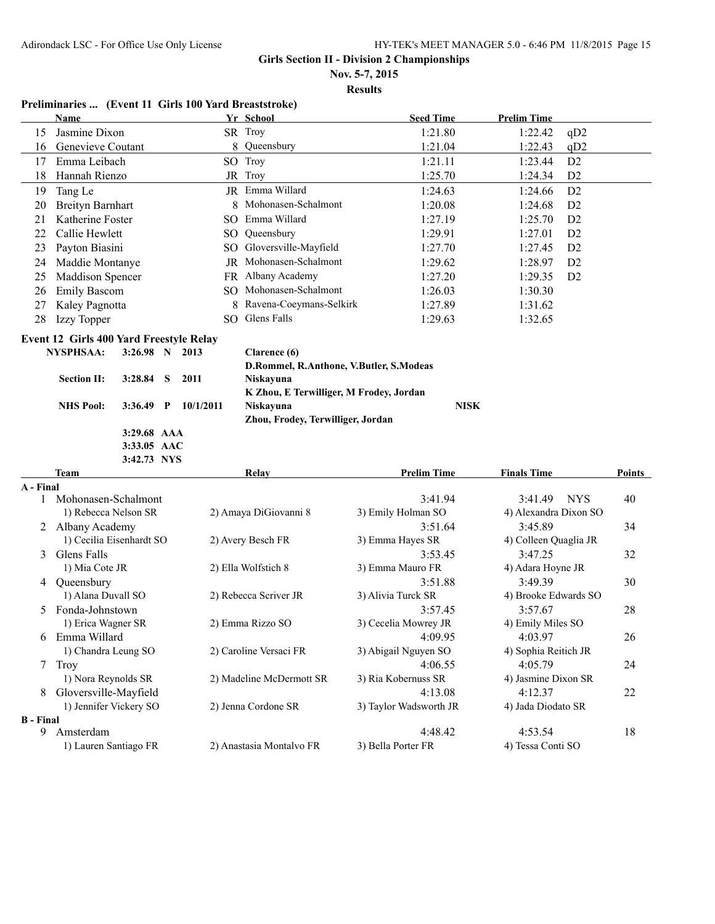**Nov. 5-7, 2015**

**Results**

#### **Preliminaries ... (Event 11 Girls 100 Yard Breaststroke)**

|                  | <b>Name</b>                                    |                |   |           | Yr School                               | <b>Seed Time</b>              | <b>Prelim Time</b>           |        |
|------------------|------------------------------------------------|----------------|---|-----------|-----------------------------------------|-------------------------------|------------------------------|--------|
| 15               | Jasmine Dixon                                  |                |   |           | SR Troy                                 | 1:21.80                       | 1:22.42<br>qD2               |        |
| 16               | Genevieve Coutant                              |                |   | 8         | Queensbury                              | 1:21.04                       | 1:22.43<br>qD2               |        |
| 17               | Emma Leibach                                   |                |   |           | SO Troy                                 | 1:21.11                       | 1:23.44<br>D <sub>2</sub>    |        |
| 18               | Hannah Rienzo                                  |                |   |           | JR Troy                                 | 1:25.70                       | 1:24.34<br>D <sub>2</sub>    |        |
| 19               | Tang Le                                        |                |   |           | JR Emma Willard                         | 1:24.63                       | D2<br>1:24.66                |        |
| 20               | <b>Breityn Barnhart</b>                        |                |   |           | 8 Mohonasen-Schalmont                   | 1:20.08                       | 1:24.68<br>D <sub>2</sub>    |        |
| 21               | Katherine Foster                               |                |   |           | SO Emma Willard                         | 1:27.19                       | 1:25.70<br>D <sub>2</sub>    |        |
| 22               | Callie Hewlett                                 |                |   | SO.       | Queensbury                              | 1:29.91                       | 1:27.01<br>D <sub>2</sub>    |        |
| 23               | Payton Biasini                                 |                |   |           | SO Gloversville-Mayfield                | 1:27.70                       | 1:27.45<br>D <sub>2</sub>    |        |
| 24               | Maddie Montanye                                |                |   |           | JR Mohonasen-Schalmont                  | 1:29.62                       | 1:28.97<br>D <sub>2</sub>    |        |
| 25               | Maddison Spencer                               |                |   |           | FR Albany Academy                       | 1:27.20                       | 1:29.35<br>D <sub>2</sub>    |        |
| 26               | <b>Emily Bascom</b>                            |                |   |           | SO Mohonasen-Schalmont                  | 1:26.03                       | 1:30.30                      |        |
| 27               | Kaley Pagnotta                                 |                |   | 8         | Ravena-Coeymans-Selkirk                 | 1:27.89                       | 1:31.62                      |        |
| 28               | Izzy Topper                                    |                |   | SO.       | Glens Falls                             | 1:29.63                       | 1:32.65                      |        |
|                  | <b>Event 12 Girls 400 Yard Freestyle Relay</b> |                |   |           |                                         |                               |                              |        |
|                  | <b>NYSPHSAA:</b>                               | 3:26.98 N 2013 |   |           | Clarence (6)                            |                               |                              |        |
|                  |                                                |                |   |           | D.Rommel, R.Anthone, V.Butler, S.Modeas |                               |                              |        |
|                  | <b>Section II:</b>                             | 3:28.84        | S | 2011      | Niskayuna                               |                               |                              |        |
|                  |                                                |                |   |           | K Zhou, E Terwilliger, M Frodey, Jordan |                               |                              |        |
|                  | <b>NHS Pool:</b>                               | $3:36.49$ P    |   | 10/1/2011 | Niskayuna                               | <b>NISK</b>                   |                              |        |
|                  |                                                |                |   |           | Zhou, Frodey, Terwilliger, Jordan       |                               |                              |        |
|                  |                                                | 3:29.68 AAA    |   |           |                                         |                               |                              |        |
|                  |                                                | 3:33.05 AAC    |   |           |                                         |                               |                              |        |
|                  | <b>Team</b>                                    | 3:42.73 NYS    |   |           |                                         |                               | <b>Finals Time</b>           | Points |
| A - Final        |                                                |                |   |           | Relay                                   | <b>Prelim Time</b>            |                              |        |
|                  | 1 Mohonasen-Schalmont                          |                |   |           |                                         |                               |                              |        |
|                  |                                                |                |   |           |                                         |                               |                              |        |
|                  |                                                |                |   |           |                                         | 3:41.94                       | <b>NYS</b><br>3:41.49        | 40     |
|                  | 1) Rebecca Nelson SR                           |                |   |           | 2) Amaya DiGiovanni 8                   | 3) Emily Holman SO            | 4) Alexandra Dixon SO        |        |
|                  | 2 Albany Academy                               |                |   |           |                                         | 3:51.64                       | 3:45.89                      | 34     |
| 3                | 1) Cecilia Eisenhardt SO                       |                |   |           | 2) Avery Besch FR                       | 3) Emma Hayes SR<br>3:53.45   | 4) Colleen Quaglia JR        |        |
|                  | Glens Falls<br>1) Mia Cote JR                  |                |   |           | 2) Ella Wolfstich 8                     | 3) Emma Mauro FR              | 3:47.25<br>4) Adara Hoyne JR | 32     |
| 4                | Queensbury                                     |                |   |           |                                         | 3:51.88                       | 3:49.39                      | 30     |
|                  | 1) Alana Duvall SO                             |                |   |           | 2) Rebecca Scriver JR                   | 3) Alivia Turck SR            | 4) Brooke Edwards SO         |        |
| 5                | Fonda-Johnstown                                |                |   |           |                                         | 3:57.45                       | 3:57.67                      | 28     |
|                  | 1) Erica Wagner SR                             |                |   |           | 2) Emma Rizzo SO                        | 3) Cecelia Mowrey JR          | 4) Emily Miles SO            |        |
| 6                | Emma Willard                                   |                |   |           |                                         | 4:09.95                       | 4:03.97                      | 26     |
|                  | 1) Chandra Leung SO                            |                |   |           | 2) Caroline Versaci FR                  | 3) Abigail Nguyen SO          | 4) Sophia Reitich JR         |        |
|                  | 7 Troy                                         |                |   |           |                                         | 4:06.55                       | 4:05.79                      | 24     |
|                  | 1) Nora Reynolds SR                            |                |   |           | 2) Madeline McDermott SR                | 3) Ria Kobernuss SR           | 4) Jasmine Dixon SR          |        |
| 8                | Gloversville-Mayfield                          |                |   |           |                                         | 4:13.08                       | 4:12.37                      | 22     |
|                  | 1) Jennifer Vickery SO                         |                |   |           | 2) Jenna Cordone SR                     | 3) Taylor Wadsworth JR        | 4) Jada Diodato SR           |        |
| <b>B</b> - Final |                                                |                |   |           |                                         |                               |                              |        |
| 9.               | Amsterdam<br>1) Lauren Santiago FR             |                |   |           | 2) Anastasia Montalvo FR                | 4:48.42<br>3) Bella Porter FR | 4:53.54<br>4) Tessa Conti SO | 18     |